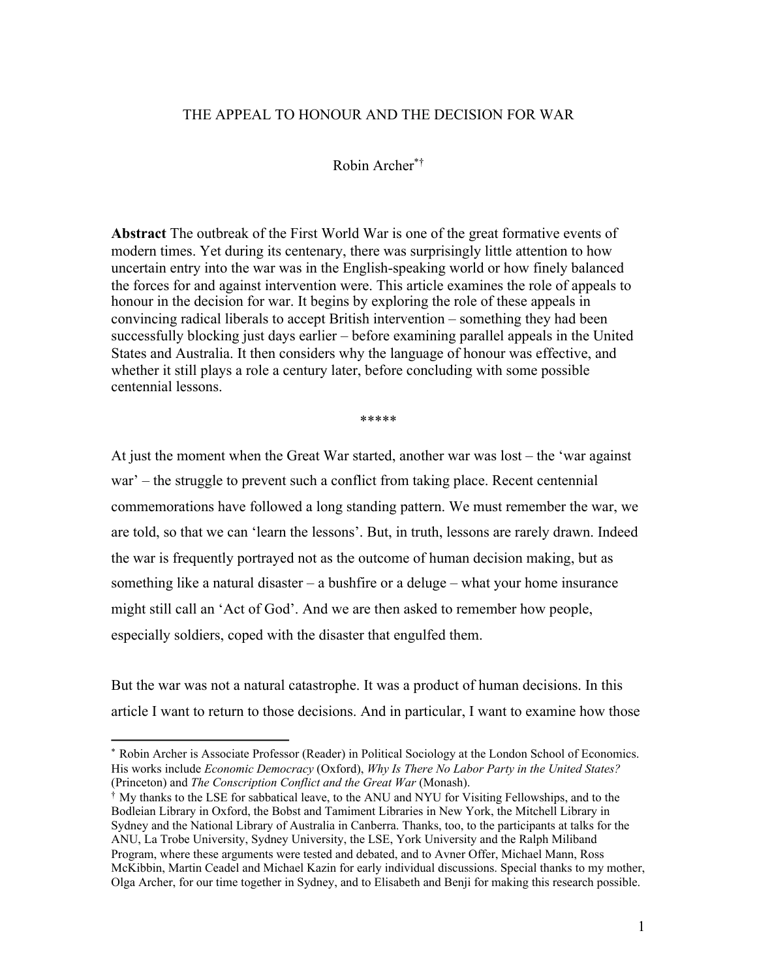# THE APPEAL TO HONOUR AND THE DECISION FOR WAR

# Robin Archer\*†

**Abstract** The outbreak of the First World War is one of the great formative events of modern times. Yet during its centenary, there was surprisingly little attention to how uncertain entry into the war was in the English-speaking world or how finely balanced the forces for and against intervention were. This article examines the role of appeals to honour in the decision for war. It begins by exploring the role of these appeals in convincing radical liberals to accept British intervention – something they had been successfully blocking just days earlier – before examining parallel appeals in the United States and Australia. It then considers why the language of honour was effective, and whether it still plays a role a century later, before concluding with some possible centennial lessons.

\*\*\*\*\*

At just the moment when the Great War started, another war was lost – the 'war against war' – the struggle to prevent such a conflict from taking place. Recent centennial commemorations have followed a long standing pattern. We must remember the war, we are told, so that we can 'learn the lessons'. But, in truth, lessons are rarely drawn. Indeed the war is frequently portrayed not as the outcome of human decision making, but as something like a natural disaster – a bushfire or a deluge – what your home insurance might still call an 'Act of God'. And we are then asked to remember how people, especially soldiers, coped with the disaster that engulfed them.

But the war was not a natural catastrophe. It was a product of human decisions. In this article I want to return to those decisions. And in particular, I want to examine how those

<sup>\*</sup> Robin Archer is Associate Professor (Reader) in Political Sociology at the London School of Economics. His works include *Economic Democracy* (Oxford), *Why Is There No Labor Party in the United States?* (Princeton) and *The Conscription Conflict and the Great War* (Monash).

<sup>†</sup> My thanks to the LSE for sabbatical leave, to the ANU and NYU for Visiting Fellowships, and to the Bodleian Library in Oxford, the Bobst and Tamiment Libraries in New York, the Mitchell Library in Sydney and the National Library of Australia in Canberra. Thanks, too, to the participants at talks for the ANU, La Trobe University, Sydney University, the LSE, York University and the Ralph Miliband Program, where these arguments were tested and debated, and to Avner Offer, Michael Mann, Ross McKibbin, Martin Ceadel and Michael Kazin for early individual discussions. Special thanks to my mother, Olga Archer, for our time together in Sydney, and to Elisabeth and Benji for making this research possible.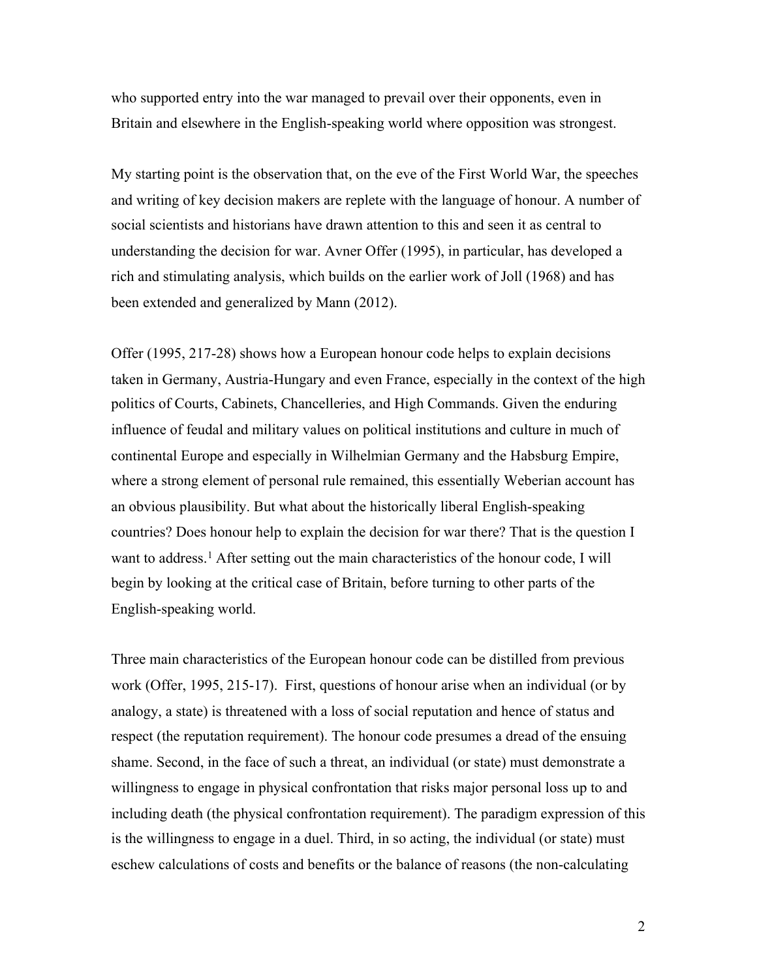who supported entry into the war managed to prevail over their opponents, even in Britain and elsewhere in the English-speaking world where opposition was strongest.

My starting point is the observation that, on the eve of the First World War, the speeches and writing of key decision makers are replete with the language of honour. A number of social scientists and historians have drawn attention to this and seen it as central to understanding the decision for war. Avner Offer (1995), in particular, has developed a rich and stimulating analysis, which builds on the earlier work of Joll (1968) and has been extended and generalized by Mann (2012).

Offer (1995, 217-28) shows how a European honour code helps to explain decisions taken in Germany, Austria-Hungary and even France, especially in the context of the high politics of Courts, Cabinets, Chancelleries, and High Commands. Given the enduring influence of feudal and military values on political institutions and culture in much of continental Europe and especially in Wilhelmian Germany and the Habsburg Empire, where a strong element of personal rule remained, this essentially Weberian account has an obvious plausibility. But what about the historically liberal English-speaking countries? Does honour help to explain the decision for war there? That is the question I want to address. <sup>1</sup> After setting out the main characteristics of the honour code, I will begin by looking at the critical case of Britain, before turning to other parts of the English-speaking world.

Three main characteristics of the European honour code can be distilled from previous work (Offer, 1995, 215-17). First, questions of honour arise when an individual (or by analogy, a state) is threatened with a loss of social reputation and hence of status and respect (the reputation requirement). The honour code presumes a dread of the ensuing shame. Second, in the face of such a threat, an individual (or state) must demonstrate a willingness to engage in physical confrontation that risks major personal loss up to and including death (the physical confrontation requirement). The paradigm expression of this is the willingness to engage in a duel. Third, in so acting, the individual (or state) must eschew calculations of costs and benefits or the balance of reasons (the non-calculating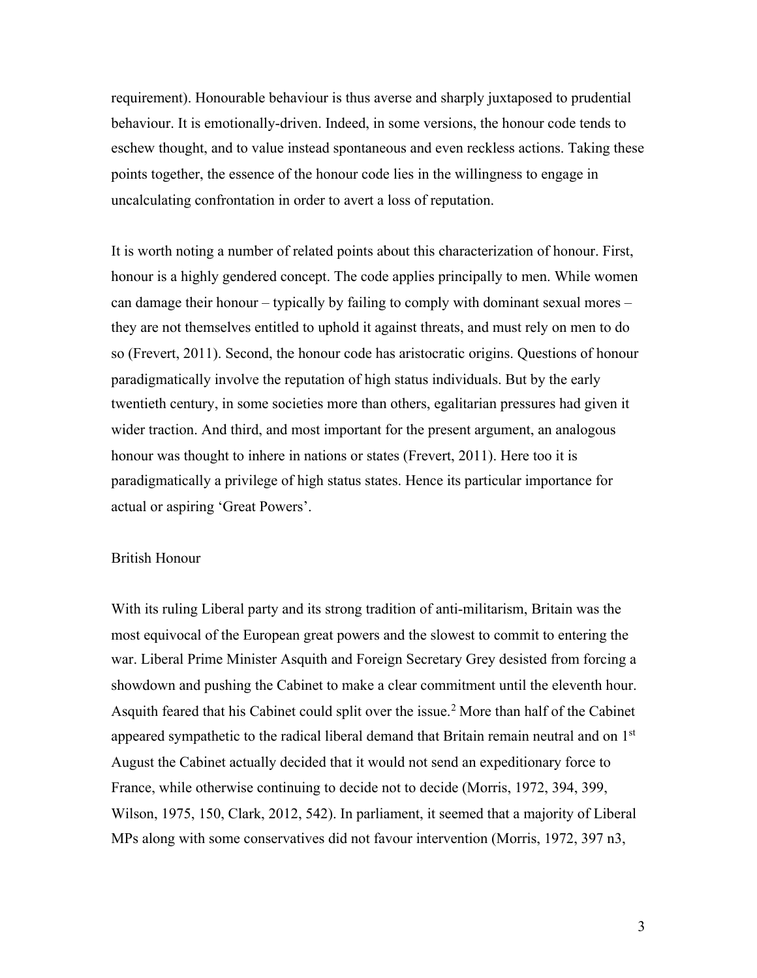requirement). Honourable behaviour is thus averse and sharply juxtaposed to prudential behaviour. It is emotionally-driven. Indeed, in some versions, the honour code tends to eschew thought, and to value instead spontaneous and even reckless actions. Taking these points together, the essence of the honour code lies in the willingness to engage in uncalculating confrontation in order to avert a loss of reputation.

It is worth noting a number of related points about this characterization of honour. First, honour is a highly gendered concept. The code applies principally to men. While women can damage their honour – typically by failing to comply with dominant sexual mores – they are not themselves entitled to uphold it against threats, and must rely on men to do so (Frevert, 2011). Second, the honour code has aristocratic origins. Questions of honour paradigmatically involve the reputation of high status individuals. But by the early twentieth century, in some societies more than others, egalitarian pressures had given it wider traction. And third, and most important for the present argument, an analogous honour was thought to inhere in nations or states (Frevert, 2011). Here too it is paradigmatically a privilege of high status states. Hence its particular importance for actual or aspiring 'Great Powers'.

# British Honour

With its ruling Liberal party and its strong tradition of anti-militarism, Britain was the most equivocal of the European great powers and the slowest to commit to entering the war. Liberal Prime Minister Asquith and Foreign Secretary Grey desisted from forcing a showdown and pushing the Cabinet to make a clear commitment until the eleventh hour. Asquith feared that his Cabinet could split over the issue.<sup>2</sup> More than half of the Cabinet appeared sympathetic to the radical liberal demand that Britain remain neutral and on  $1<sup>st</sup>$ August the Cabinet actually decided that it would not send an expeditionary force to France, while otherwise continuing to decide not to decide (Morris, 1972, 394, 399, Wilson, 1975, 150, Clark, 2012, 542). In parliament, it seemed that a majority of Liberal MPs along with some conservatives did not favour intervention (Morris, 1972, 397 n3,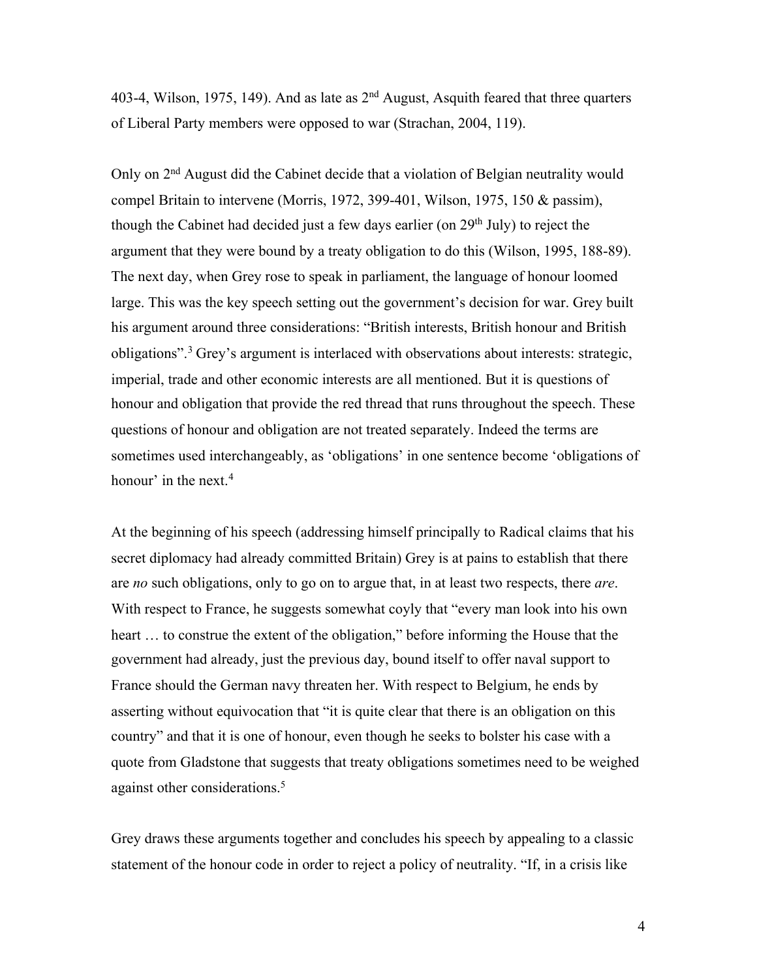403-4, Wilson, 1975, 149). And as late as  $2<sup>nd</sup>$  August, Asquith feared that three quarters of Liberal Party members were opposed to war (Strachan, 2004, 119).

Only on 2<sup>nd</sup> August did the Cabinet decide that a violation of Belgian neutrality would compel Britain to intervene (Morris, 1972, 399-401, Wilson, 1975, 150 & passim), though the Cabinet had decided just a few days earlier (on  $29<sup>th</sup>$  July) to reject the argument that they were bound by a treaty obligation to do this (Wilson, 1995, 188-89). The next day, when Grey rose to speak in parliament, the language of honour loomed large. This was the key speech setting out the government's decision for war. Grey built his argument around three considerations: "British interests, British honour and British obligations".3 Grey's argument is interlaced with observations about interests: strategic, imperial, trade and other economic interests are all mentioned. But it is questions of honour and obligation that provide the red thread that runs throughout the speech. These questions of honour and obligation are not treated separately. Indeed the terms are sometimes used interchangeably, as 'obligations' in one sentence become 'obligations of honour' in the next. $4$ 

At the beginning of his speech (addressing himself principally to Radical claims that his secret diplomacy had already committed Britain) Grey is at pains to establish that there are *no* such obligations, only to go on to argue that, in at least two respects, there *are*. With respect to France, he suggests somewhat coyly that "every man look into his own heart … to construe the extent of the obligation," before informing the House that the government had already, just the previous day, bound itself to offer naval support to France should the German navy threaten her. With respect to Belgium, he ends by asserting without equivocation that "it is quite clear that there is an obligation on this country" and that it is one of honour, even though he seeks to bolster his case with a quote from Gladstone that suggests that treaty obligations sometimes need to be weighed against other considerations.<sup>5</sup>

Grey draws these arguments together and concludes his speech by appealing to a classic statement of the honour code in order to reject a policy of neutrality. "If, in a crisis like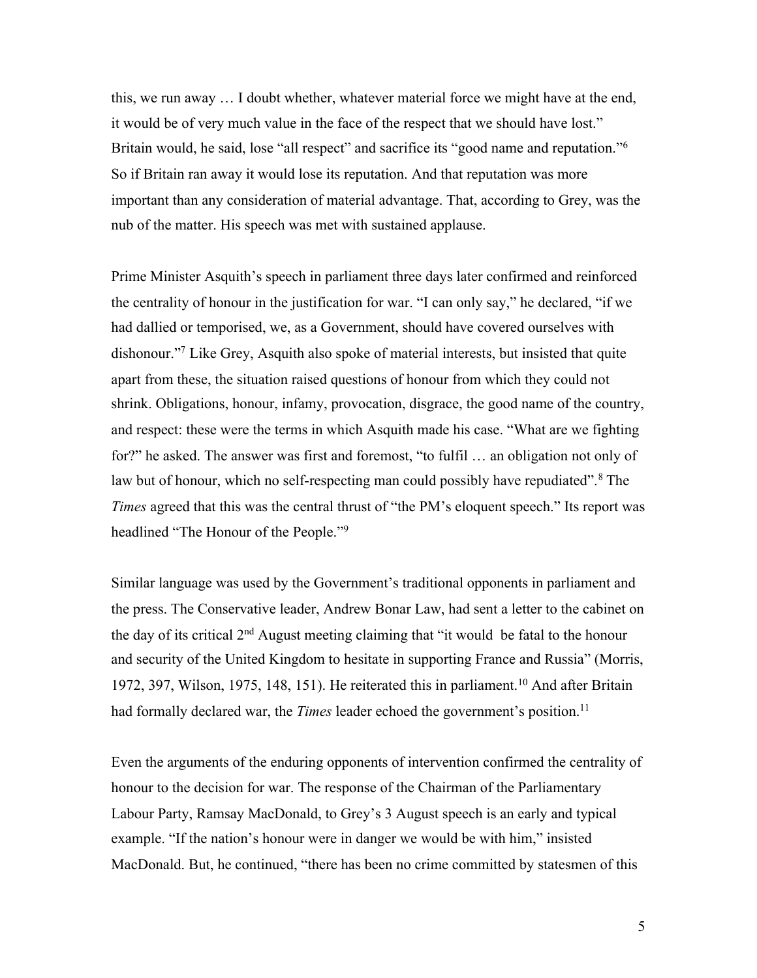this, we run away … I doubt whether, whatever material force we might have at the end, it would be of very much value in the face of the respect that we should have lost." Britain would, he said, lose "all respect" and sacrifice its "good name and reputation."<sup>6</sup> So if Britain ran away it would lose its reputation. And that reputation was more important than any consideration of material advantage. That, according to Grey, was the nub of the matter. His speech was met with sustained applause.

Prime Minister Asquith's speech in parliament three days later confirmed and reinforced the centrality of honour in the justification for war. "I can only say," he declared, "if we had dallied or temporised, we, as a Government, should have covered ourselves with dishonour."7 Like Grey, Asquith also spoke of material interests, but insisted that quite apart from these, the situation raised questions of honour from which they could not shrink. Obligations, honour, infamy, provocation, disgrace, the good name of the country, and respect: these were the terms in which Asquith made his case. "What are we fighting for?" he asked. The answer was first and foremost, "to fulfil … an obligation not only of law but of honour, which no self-respecting man could possibly have repudiated".<sup>8</sup> The *Times* agreed that this was the central thrust of "the PM's eloquent speech." Its report was headlined "The Honour of the People."9

Similar language was used by the Government's traditional opponents in parliament and the press. The Conservative leader, Andrew Bonar Law, had sent a letter to the cabinet on the day of its critical 2nd August meeting claiming that "it would be fatal to the honour and security of the United Kingdom to hesitate in supporting France and Russia" (Morris, 1972, 397, Wilson, 1975, 148, 151). He reiterated this in parliament.<sup>10</sup> And after Britain had formally declared war, the *Times* leader echoed the government's position.<sup>11</sup>

Even the arguments of the enduring opponents of intervention confirmed the centrality of honour to the decision for war. The response of the Chairman of the Parliamentary Labour Party, Ramsay MacDonald, to Grey's 3 August speech is an early and typical example. "If the nation's honour were in danger we would be with him," insisted MacDonald. But, he continued, "there has been no crime committed by statesmen of this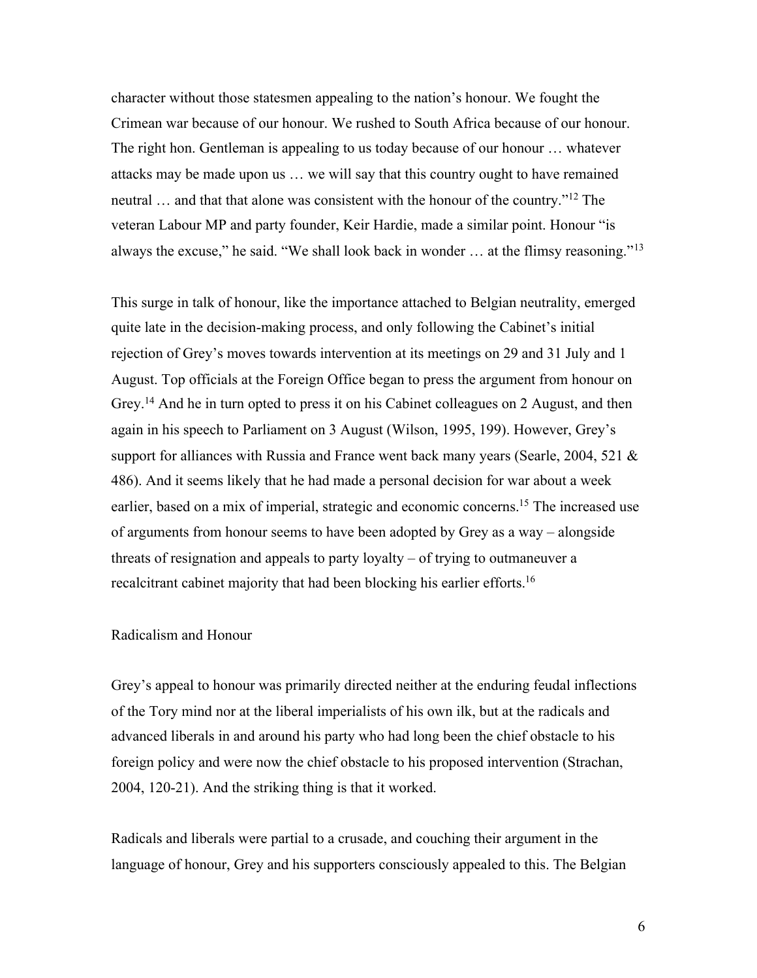character without those statesmen appealing to the nation's honour. We fought the Crimean war because of our honour. We rushed to South Africa because of our honour. The right hon. Gentleman is appealing to us today because of our honour … whatever attacks may be made upon us … we will say that this country ought to have remained neutral ... and that that alone was consistent with the honour of the country."<sup>12</sup> The veteran Labour MP and party founder, Keir Hardie, made a similar point. Honour "is always the excuse," he said. "We shall look back in wonder  $\ldots$  at the flimsy reasoning."<sup>13</sup>

This surge in talk of honour, like the importance attached to Belgian neutrality, emerged quite late in the decision-making process, and only following the Cabinet's initial rejection of Grey's moves towards intervention at its meetings on 29 and 31 July and 1 August. Top officials at the Foreign Office began to press the argument from honour on Grey.<sup>14</sup> And he in turn opted to press it on his Cabinet colleagues on 2 August, and then again in his speech to Parliament on 3 August (Wilson, 1995, 199). However, Grey's support for alliances with Russia and France went back many years (Searle, 2004, 521  $\&$ 486). And it seems likely that he had made a personal decision for war about a week earlier, based on a mix of imperial, strategic and economic concerns.<sup>15</sup> The increased use of arguments from honour seems to have been adopted by Grey as a way – alongside threats of resignation and appeals to party loyalty – of trying to outmaneuver a recalcitrant cabinet majority that had been blocking his earlier efforts.<sup>16</sup>

# Radicalism and Honour

Grey's appeal to honour was primarily directed neither at the enduring feudal inflections of the Tory mind nor at the liberal imperialists of his own ilk, but at the radicals and advanced liberals in and around his party who had long been the chief obstacle to his foreign policy and were now the chief obstacle to his proposed intervention (Strachan, 2004, 120-21). And the striking thing is that it worked.

Radicals and liberals were partial to a crusade, and couching their argument in the language of honour, Grey and his supporters consciously appealed to this. The Belgian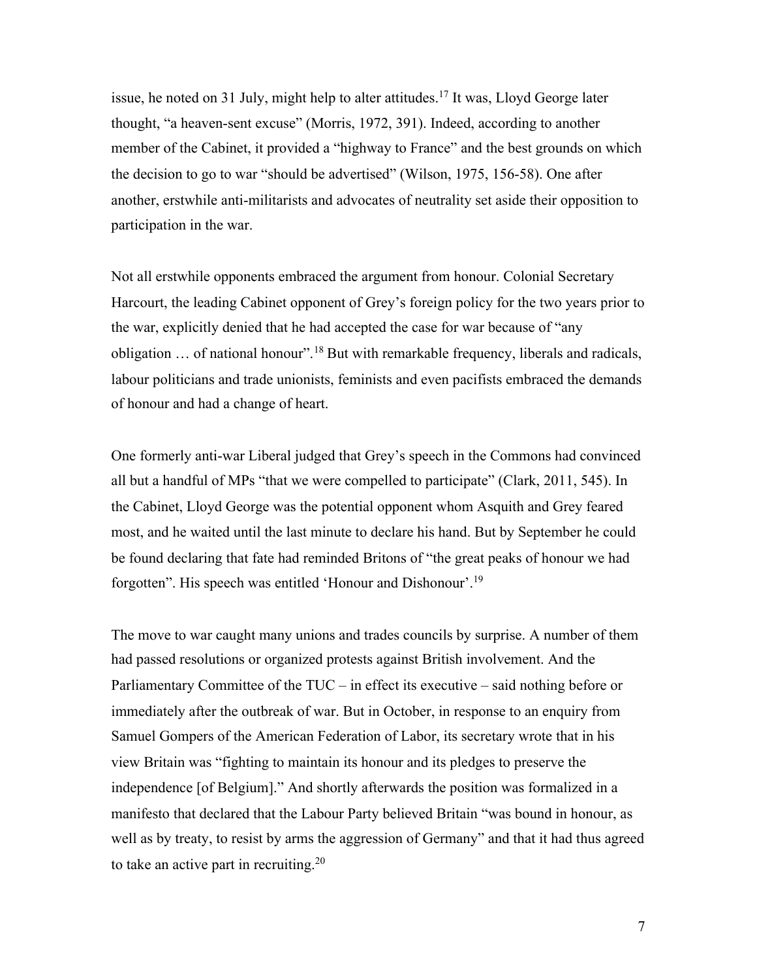issue, he noted on 31 July, might help to alter attitudes.<sup>17</sup> It was, Lloyd George later thought, "a heaven-sent excuse" (Morris, 1972, 391). Indeed, according to another member of the Cabinet, it provided a "highway to France" and the best grounds on which the decision to go to war "should be advertised" (Wilson, 1975, 156-58). One after another, erstwhile anti-militarists and advocates of neutrality set aside their opposition to participation in the war.

Not all erstwhile opponents embraced the argument from honour. Colonial Secretary Harcourt, the leading Cabinet opponent of Grey's foreign policy for the two years prior to the war, explicitly denied that he had accepted the case for war because of "any obligation … of national honour".18 But with remarkable frequency, liberals and radicals, labour politicians and trade unionists, feminists and even pacifists embraced the demands of honour and had a change of heart.

One formerly anti-war Liberal judged that Grey's speech in the Commons had convinced all but a handful of MPs "that we were compelled to participate" (Clark, 2011, 545). In the Cabinet, Lloyd George was the potential opponent whom Asquith and Grey feared most, and he waited until the last minute to declare his hand. But by September he could be found declaring that fate had reminded Britons of "the great peaks of honour we had forgotten". His speech was entitled 'Honour and Dishonour'.19

The move to war caught many unions and trades councils by surprise. A number of them had passed resolutions or organized protests against British involvement. And the Parliamentary Committee of the TUC – in effect its executive – said nothing before or immediately after the outbreak of war. But in October, in response to an enquiry from Samuel Gompers of the American Federation of Labor, its secretary wrote that in his view Britain was "fighting to maintain its honour and its pledges to preserve the independence [of Belgium]." And shortly afterwards the position was formalized in a manifesto that declared that the Labour Party believed Britain "was bound in honour, as well as by treaty, to resist by arms the aggression of Germany" and that it had thus agreed to take an active part in recruiting.<sup>20</sup>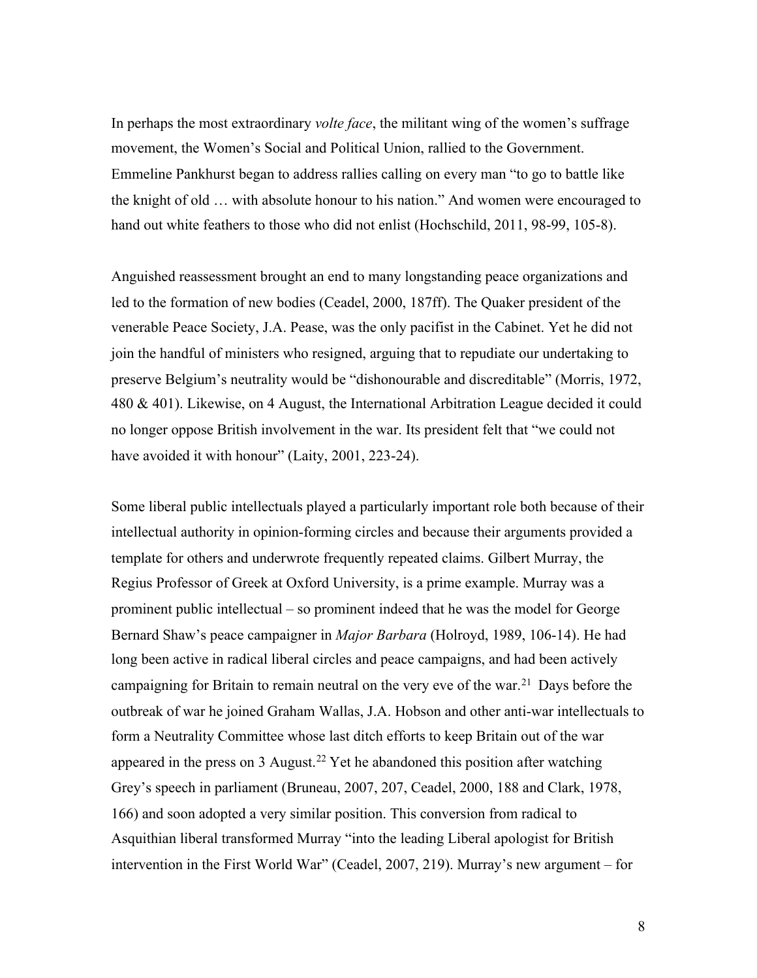In perhaps the most extraordinary *volte face*, the militant wing of the women's suffrage movement, the Women's Social and Political Union, rallied to the Government. Emmeline Pankhurst began to address rallies calling on every man "to go to battle like the knight of old … with absolute honour to his nation." And women were encouraged to hand out white feathers to those who did not enlist (Hochschild, 2011, 98-99, 105-8).

Anguished reassessment brought an end to many longstanding peace organizations and led to the formation of new bodies (Ceadel, 2000, 187ff). The Quaker president of the venerable Peace Society, J.A. Pease, was the only pacifist in the Cabinet. Yet he did not join the handful of ministers who resigned, arguing that to repudiate our undertaking to preserve Belgium's neutrality would be "dishonourable and discreditable" (Morris, 1972, 480 & 401). Likewise, on 4 August, the International Arbitration League decided it could no longer oppose British involvement in the war. Its president felt that "we could not have avoided it with honour" (Laity, 2001, 223-24).

Some liberal public intellectuals played a particularly important role both because of their intellectual authority in opinion-forming circles and because their arguments provided a template for others and underwrote frequently repeated claims. Gilbert Murray, the Regius Professor of Greek at Oxford University, is a prime example. Murray was a prominent public intellectual – so prominent indeed that he was the model for George Bernard Shaw's peace campaigner in *Major Barbara* (Holroyd, 1989, 106-14). He had long been active in radical liberal circles and peace campaigns, and had been actively campaigning for Britain to remain neutral on the very eve of the war.<sup>21</sup> Days before the outbreak of war he joined Graham Wallas, J.A. Hobson and other anti-war intellectuals to form a Neutrality Committee whose last ditch efforts to keep Britain out of the war appeared in the press on 3 August.<sup>22</sup> Yet he abandoned this position after watching Grey's speech in parliament (Bruneau, 2007, 207, Ceadel, 2000, 188 and Clark, 1978, 166) and soon adopted a very similar position. This conversion from radical to Asquithian liberal transformed Murray "into the leading Liberal apologist for British intervention in the First World War" (Ceadel, 2007, 219). Murray's new argument – for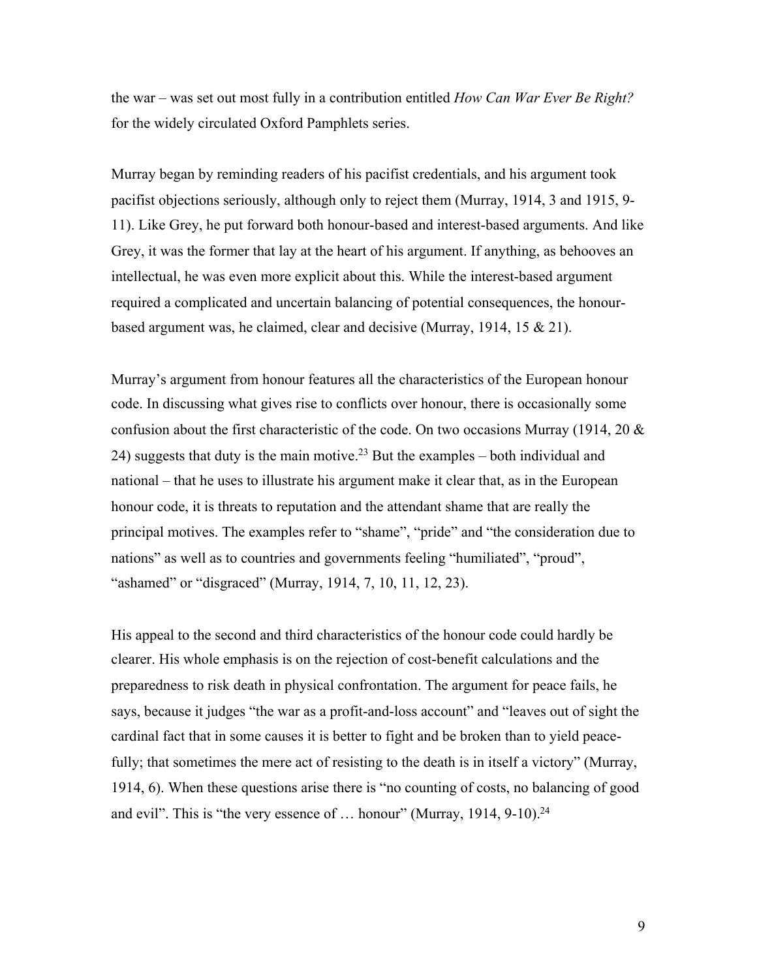the war – was set out most fully in a contribution entitled *How Can War Ever Be Right?* for the widely circulated Oxford Pamphlets series.

Murray began by reminding readers of his pacifist credentials, and his argument took pacifist objections seriously, although only to reject them (Murray, 1914, 3 and 1915, 9- 11). Like Grey, he put forward both honour-based and interest-based arguments. And like Grey, it was the former that lay at the heart of his argument. If anything, as behooves an intellectual, he was even more explicit about this. While the interest-based argument required a complicated and uncertain balancing of potential consequences, the honourbased argument was, he claimed, clear and decisive (Murray, 1914, 15 & 21).

Murray's argument from honour features all the characteristics of the European honour code. In discussing what gives rise to conflicts over honour, there is occasionally some confusion about the first characteristic of the code. On two occasions Murray (1914, 20  $\&$ 24) suggests that duty is the main motive.<sup>23</sup> But the examples – both individual and national – that he uses to illustrate his argument make it clear that, as in the European honour code, it is threats to reputation and the attendant shame that are really the principal motives. The examples refer to "shame", "pride" and "the consideration due to nations" as well as to countries and governments feeling "humiliated", "proud", "ashamed" or "disgraced" (Murray, 1914, 7, 10, 11, 12, 23).

His appeal to the second and third characteristics of the honour code could hardly be clearer. His whole emphasis is on the rejection of cost-benefit calculations and the preparedness to risk death in physical confrontation. The argument for peace fails, he says, because it judges "the war as a profit-and-loss account" and "leaves out of sight the cardinal fact that in some causes it is better to fight and be broken than to yield peacefully; that sometimes the mere act of resisting to the death is in itself a victory" (Murray, 1914, 6). When these questions arise there is "no counting of costs, no balancing of good and evil". This is "the very essence of  $\ldots$  honour" (Murray, 1914, 9-10).<sup>24</sup>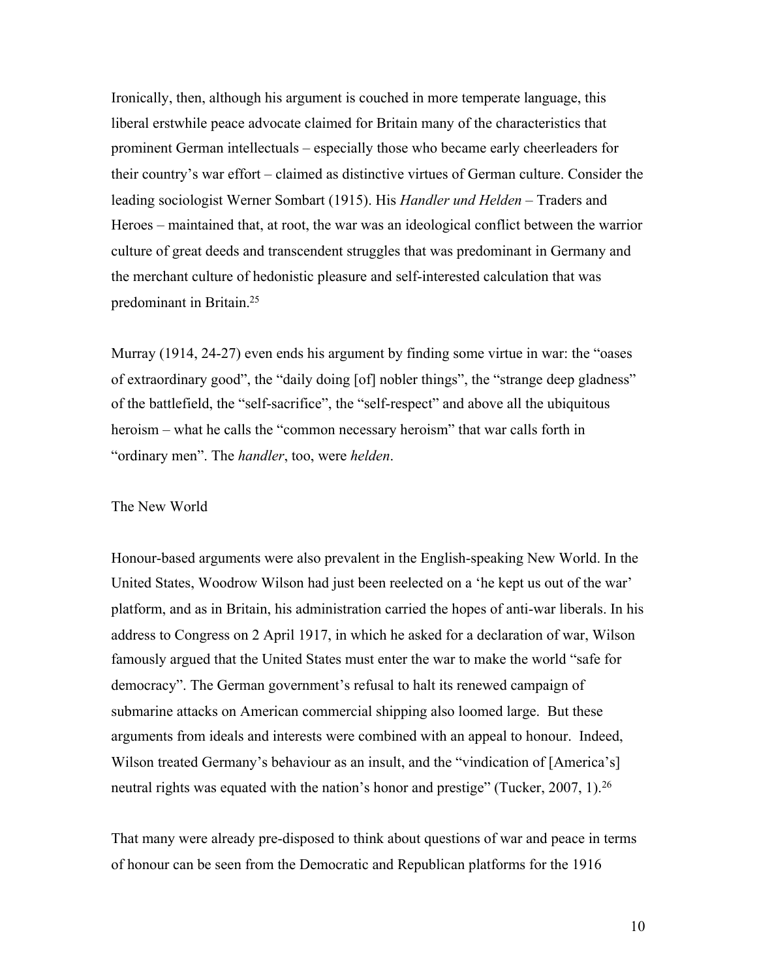Ironically, then, although his argument is couched in more temperate language, this liberal erstwhile peace advocate claimed for Britain many of the characteristics that prominent German intellectuals – especially those who became early cheerleaders for their country's war effort – claimed as distinctive virtues of German culture. Consider the leading sociologist Werner Sombart (1915). His *Handler und Helden* – Traders and Heroes – maintained that, at root, the war was an ideological conflict between the warrior culture of great deeds and transcendent struggles that was predominant in Germany and the merchant culture of hedonistic pleasure and self-interested calculation that was predominant in Britain.25

Murray (1914, 24-27) even ends his argument by finding some virtue in war: the "oases of extraordinary good", the "daily doing [of] nobler things", the "strange deep gladness" of the battlefield, the "self-sacrifice", the "self-respect" and above all the ubiquitous heroism – what he calls the "common necessary heroism" that war calls forth in "ordinary men". The *handler*, too, were *helden*.

### The New World

Honour-based arguments were also prevalent in the English-speaking New World. In the United States, Woodrow Wilson had just been reelected on a 'he kept us out of the war' platform, and as in Britain, his administration carried the hopes of anti-war liberals. In his address to Congress on 2 April 1917, in which he asked for a declaration of war, Wilson famously argued that the United States must enter the war to make the world "safe for democracy". The German government's refusal to halt its renewed campaign of submarine attacks on American commercial shipping also loomed large. But these arguments from ideals and interests were combined with an appeal to honour. Indeed, Wilson treated Germany's behaviour as an insult, and the "vindication of [America's] neutral rights was equated with the nation's honor and prestige" (Tucker, 2007, 1).<sup>26</sup>

That many were already pre-disposed to think about questions of war and peace in terms of honour can be seen from the Democratic and Republican platforms for the 1916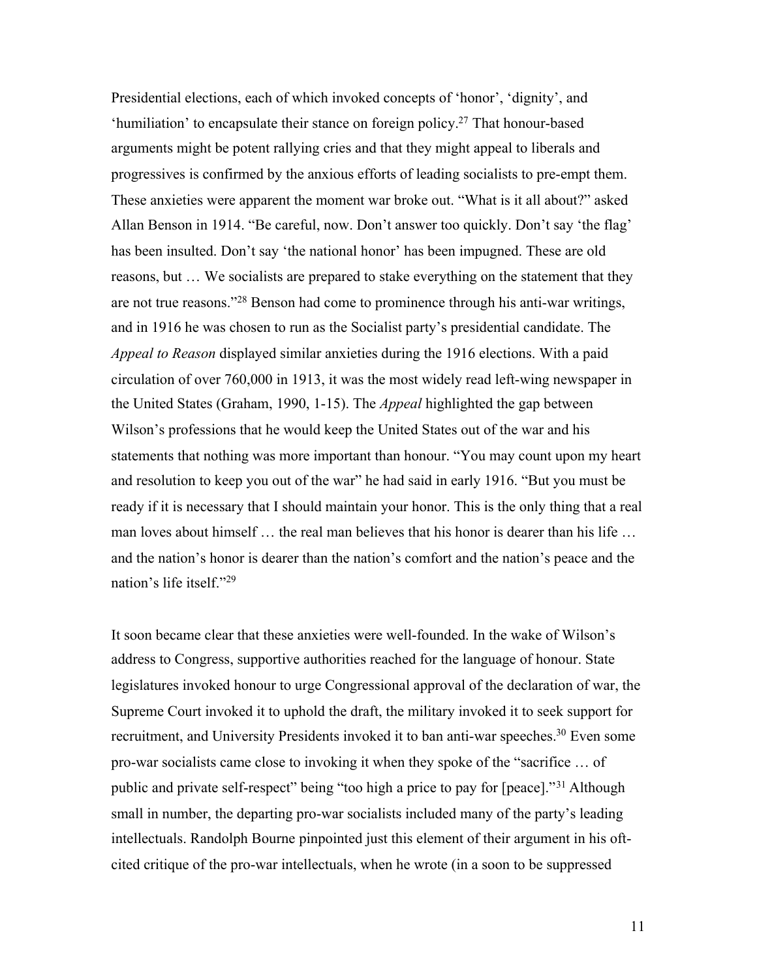Presidential elections, each of which invoked concepts of 'honor', 'dignity', and 'humiliation' to encapsulate their stance on foreign policy.27 That honour-based arguments might be potent rallying cries and that they might appeal to liberals and progressives is confirmed by the anxious efforts of leading socialists to pre-empt them. These anxieties were apparent the moment war broke out. "What is it all about?" asked Allan Benson in 1914. "Be careful, now. Don't answer too quickly. Don't say 'the flag' has been insulted. Don't say 'the national honor' has been impugned. These are old reasons, but … We socialists are prepared to stake everything on the statement that they are not true reasons."28 Benson had come to prominence through his anti-war writings, and in 1916 he was chosen to run as the Socialist party's presidential candidate. The *Appeal to Reason* displayed similar anxieties during the 1916 elections. With a paid circulation of over 760,000 in 1913, it was the most widely read left-wing newspaper in the United States (Graham, 1990, 1-15). The *Appeal* highlighted the gap between Wilson's professions that he would keep the United States out of the war and his statements that nothing was more important than honour. "You may count upon my heart and resolution to keep you out of the war" he had said in early 1916. "But you must be ready if it is necessary that I should maintain your honor. This is the only thing that a real man loves about himself … the real man believes that his honor is dearer than his life … and the nation's honor is dearer than the nation's comfort and the nation's peace and the nation's life itself."29

It soon became clear that these anxieties were well-founded. In the wake of Wilson's address to Congress, supportive authorities reached for the language of honour. State legislatures invoked honour to urge Congressional approval of the declaration of war, the Supreme Court invoked it to uphold the draft, the military invoked it to seek support for recruitment, and University Presidents invoked it to ban anti-war speeches.<sup>30</sup> Even some pro-war socialists came close to invoking it when they spoke of the "sacrifice … of public and private self-respect" being "too high a price to pay for [peace]."<sup>31</sup> Although small in number, the departing pro-war socialists included many of the party's leading intellectuals. Randolph Bourne pinpointed just this element of their argument in his oftcited critique of the pro-war intellectuals, when he wrote (in a soon to be suppressed

11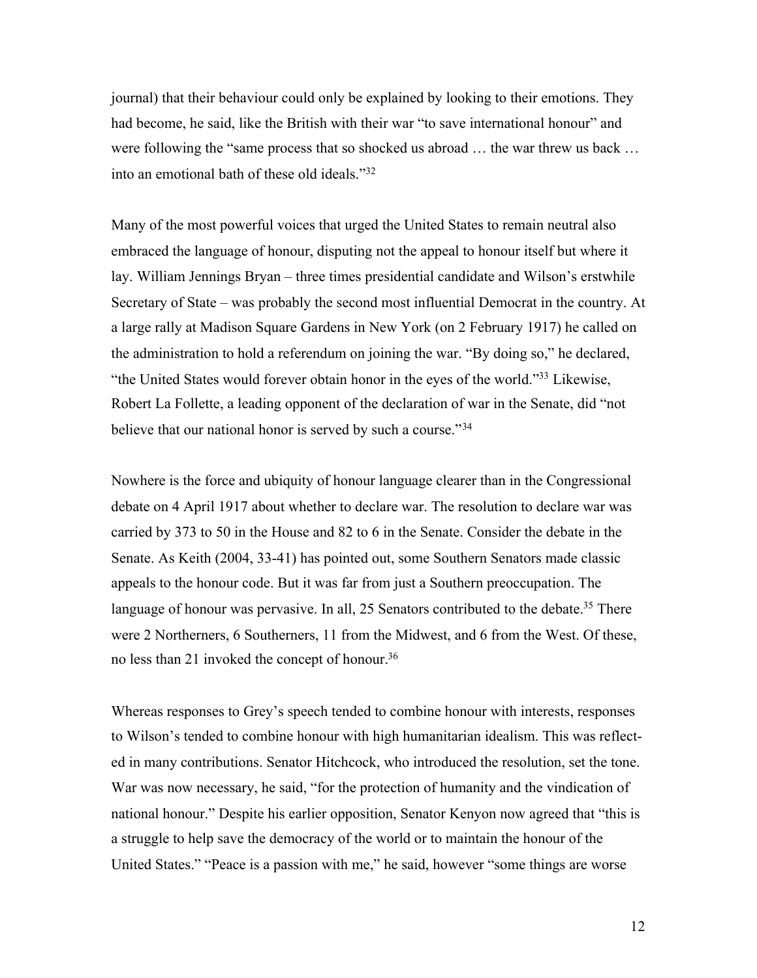journal) that their behaviour could only be explained by looking to their emotions. They had become, he said, like the British with their war "to save international honour" and were following the "same process that so shocked us abroad … the war threw us back … into an emotional bath of these old ideals."32

Many of the most powerful voices that urged the United States to remain neutral also embraced the language of honour, disputing not the appeal to honour itself but where it lay. William Jennings Bryan – three times presidential candidate and Wilson's erstwhile Secretary of State – was probably the second most influential Democrat in the country. At a large rally at Madison Square Gardens in New York (on 2 February 1917) he called on the administration to hold a referendum on joining the war. "By doing so," he declared, "the United States would forever obtain honor in the eyes of the world."33 Likewise, Robert La Follette, a leading opponent of the declaration of war in the Senate, did "not believe that our national honor is served by such a course."<sup>34</sup>

Nowhere is the force and ubiquity of honour language clearer than in the Congressional debate on 4 April 1917 about whether to declare war. The resolution to declare war was carried by 373 to 50 in the House and 82 to 6 in the Senate. Consider the debate in the Senate. As Keith (2004, 33-41) has pointed out, some Southern Senators made classic appeals to the honour code. But it was far from just a Southern preoccupation. The language of honour was pervasive. In all, 25 Senators contributed to the debate.<sup>35</sup> There were 2 Northerners, 6 Southerners, 11 from the Midwest, and 6 from the West. Of these, no less than 21 invoked the concept of honour.<sup>36</sup>

Whereas responses to Grey's speech tended to combine honour with interests, responses to Wilson's tended to combine honour with high humanitarian idealism. This was reflected in many contributions. Senator Hitchcock, who introduced the resolution, set the tone. War was now necessary, he said, "for the protection of humanity and the vindication of national honour." Despite his earlier opposition, Senator Kenyon now agreed that "this is a struggle to help save the democracy of the world or to maintain the honour of the United States." "Peace is a passion with me," he said, however "some things are worse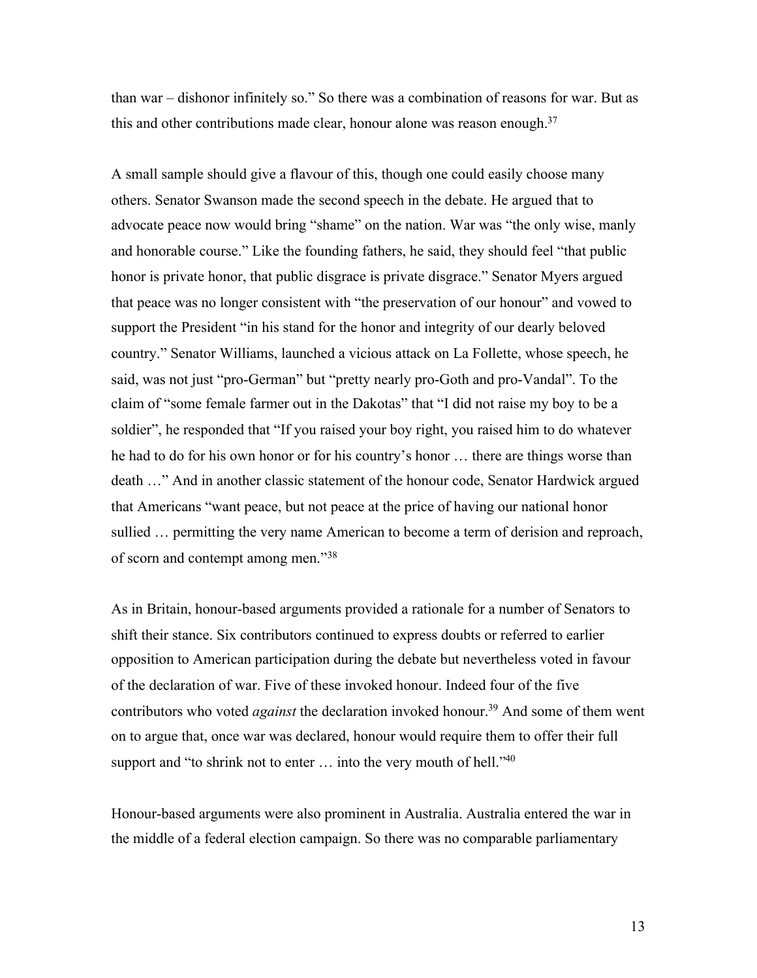than war – dishonor infinitely so." So there was a combination of reasons for war. But as this and other contributions made clear, honour alone was reason enough.<sup>37</sup>

A small sample should give a flavour of this, though one could easily choose many others. Senator Swanson made the second speech in the debate. He argued that to advocate peace now would bring "shame" on the nation. War was "the only wise, manly and honorable course." Like the founding fathers, he said, they should feel "that public honor is private honor, that public disgrace is private disgrace." Senator Myers argued that peace was no longer consistent with "the preservation of our honour" and vowed to support the President "in his stand for the honor and integrity of our dearly beloved country." Senator Williams, launched a vicious attack on La Follette, whose speech, he said, was not just "pro-German" but "pretty nearly pro-Goth and pro-Vandal". To the claim of "some female farmer out in the Dakotas" that "I did not raise my boy to be a soldier", he responded that "If you raised your boy right, you raised him to do whatever he had to do for his own honor or for his country's honor … there are things worse than death …" And in another classic statement of the honour code, Senator Hardwick argued that Americans "want peace, but not peace at the price of having our national honor sullied … permitting the very name American to become a term of derision and reproach, of scorn and contempt among men."38

As in Britain, honour-based arguments provided a rationale for a number of Senators to shift their stance. Six contributors continued to express doubts or referred to earlier opposition to American participation during the debate but nevertheless voted in favour of the declaration of war. Five of these invoked honour. Indeed four of the five contributors who voted *against* the declaration invoked honour.<sup>39</sup> And some of them went on to argue that, once war was declared, honour would require them to offer their full support and "to shrink not to enter  $\ldots$  into the very mouth of hell."<sup>40</sup>

Honour-based arguments were also prominent in Australia. Australia entered the war in the middle of a federal election campaign. So there was no comparable parliamentary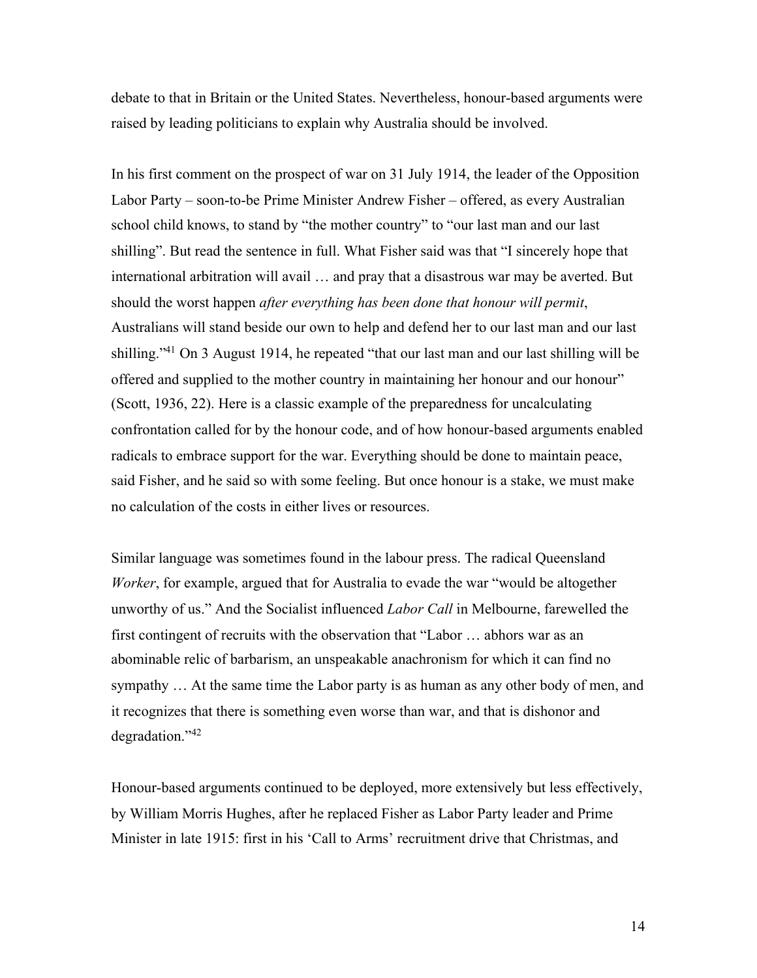debate to that in Britain or the United States. Nevertheless, honour-based arguments were raised by leading politicians to explain why Australia should be involved.

In his first comment on the prospect of war on 31 July 1914, the leader of the Opposition Labor Party – soon-to-be Prime Minister Andrew Fisher – offered, as every Australian school child knows, to stand by "the mother country" to "our last man and our last shilling". But read the sentence in full. What Fisher said was that "I sincerely hope that international arbitration will avail … and pray that a disastrous war may be averted. But should the worst happen *after everything has been done that honour will permit*, Australians will stand beside our own to help and defend her to our last man and our last shilling."<sup>41</sup> On 3 August 1914, he repeated "that our last man and our last shilling will be offered and supplied to the mother country in maintaining her honour and our honour" (Scott, 1936, 22). Here is a classic example of the preparedness for uncalculating confrontation called for by the honour code, and of how honour-based arguments enabled radicals to embrace support for the war. Everything should be done to maintain peace, said Fisher, and he said so with some feeling. But once honour is a stake, we must make no calculation of the costs in either lives or resources.

Similar language was sometimes found in the labour press. The radical Queensland *Worker*, for example, argued that for Australia to evade the war "would be altogether unworthy of us." And the Socialist influenced *Labor Call* in Melbourne, farewelled the first contingent of recruits with the observation that "Labor … abhors war as an abominable relic of barbarism, an unspeakable anachronism for which it can find no sympathy … At the same time the Labor party is as human as any other body of men, and it recognizes that there is something even worse than war, and that is dishonor and degradation."42

Honour-based arguments continued to be deployed, more extensively but less effectively, by William Morris Hughes, after he replaced Fisher as Labor Party leader and Prime Minister in late 1915: first in his 'Call to Arms' recruitment drive that Christmas, and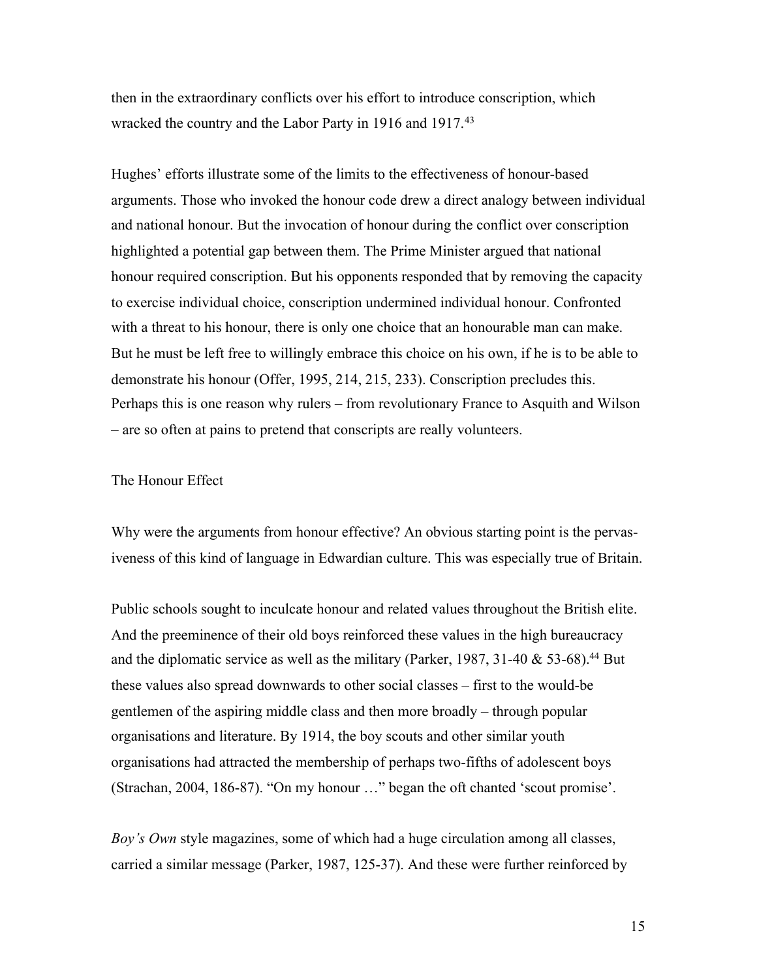then in the extraordinary conflicts over his effort to introduce conscription, which wracked the country and the Labor Party in 1916 and 1917.<sup>43</sup>

Hughes' efforts illustrate some of the limits to the effectiveness of honour-based arguments. Those who invoked the honour code drew a direct analogy between individual and national honour. But the invocation of honour during the conflict over conscription highlighted a potential gap between them. The Prime Minister argued that national honour required conscription. But his opponents responded that by removing the capacity to exercise individual choice, conscription undermined individual honour. Confronted with a threat to his honour, there is only one choice that an honourable man can make. But he must be left free to willingly embrace this choice on his own, if he is to be able to demonstrate his honour (Offer, 1995, 214, 215, 233). Conscription precludes this. Perhaps this is one reason why rulers – from revolutionary France to Asquith and Wilson – are so often at pains to pretend that conscripts are really volunteers.

### The Honour Effect

Why were the arguments from honour effective? An obvious starting point is the pervasiveness of this kind of language in Edwardian culture. This was especially true of Britain.

Public schools sought to inculcate honour and related values throughout the British elite. And the preeminence of their old boys reinforced these values in the high bureaucracy and the diplomatic service as well as the military (Parker, 1987, 31-40  $& 53{\text -}68$ ).<sup>44</sup> But these values also spread downwards to other social classes – first to the would-be gentlemen of the aspiring middle class and then more broadly – through popular organisations and literature. By 1914, the boy scouts and other similar youth organisations had attracted the membership of perhaps two-fifths of adolescent boys (Strachan, 2004, 186-87). "On my honour …" began the oft chanted 'scout promise'.

*Boy's Own* style magazines, some of which had a huge circulation among all classes, carried a similar message (Parker, 1987, 125-37). And these were further reinforced by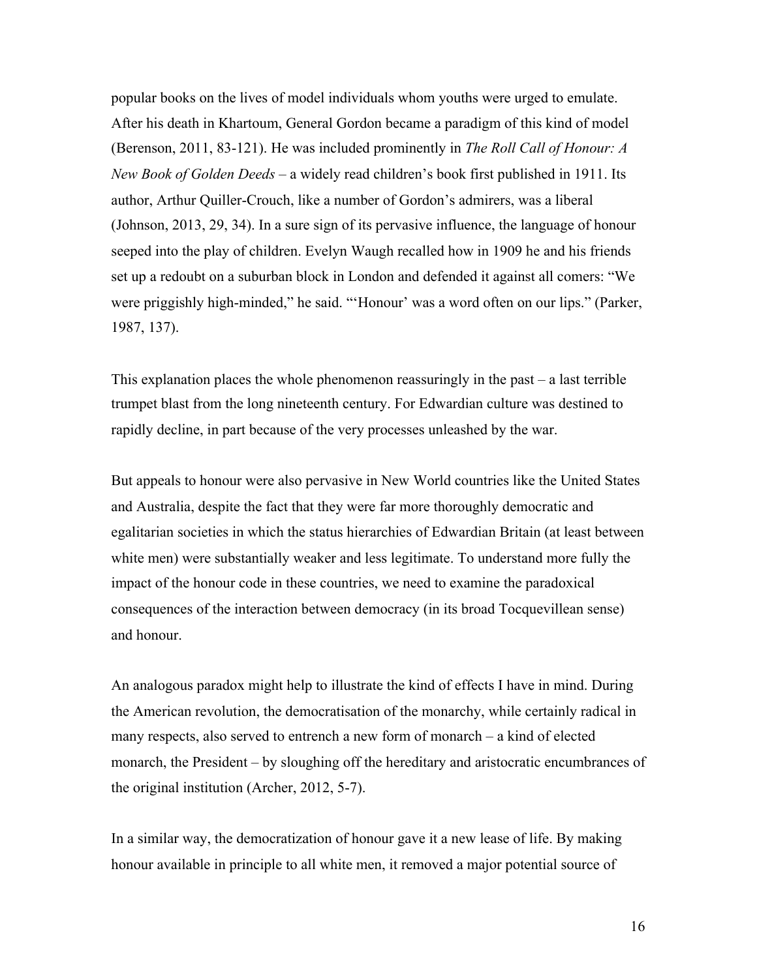popular books on the lives of model individuals whom youths were urged to emulate. After his death in Khartoum, General Gordon became a paradigm of this kind of model (Berenson, 2011, 83-121). He was included prominently in *The Roll Call of Honour: A New Book of Golden Deeds* – a widely read children's book first published in 1911. Its author, Arthur Quiller-Crouch, like a number of Gordon's admirers, was a liberal (Johnson, 2013, 29, 34). In a sure sign of its pervasive influence, the language of honour seeped into the play of children. Evelyn Waugh recalled how in 1909 he and his friends set up a redoubt on a suburban block in London and defended it against all comers: "We were priggishly high-minded," he said. "'Honour' was a word often on our lips." (Parker, 1987, 137).

This explanation places the whole phenomenon reassuringly in the past – a last terrible trumpet blast from the long nineteenth century. For Edwardian culture was destined to rapidly decline, in part because of the very processes unleashed by the war.

But appeals to honour were also pervasive in New World countries like the United States and Australia, despite the fact that they were far more thoroughly democratic and egalitarian societies in which the status hierarchies of Edwardian Britain (at least between white men) were substantially weaker and less legitimate. To understand more fully the impact of the honour code in these countries, we need to examine the paradoxical consequences of the interaction between democracy (in its broad Tocquevillean sense) and honour.

An analogous paradox might help to illustrate the kind of effects I have in mind. During the American revolution, the democratisation of the monarchy, while certainly radical in many respects, also served to entrench a new form of monarch – a kind of elected monarch, the President – by sloughing off the hereditary and aristocratic encumbrances of the original institution (Archer, 2012, 5-7).

In a similar way, the democratization of honour gave it a new lease of life. By making honour available in principle to all white men, it removed a major potential source of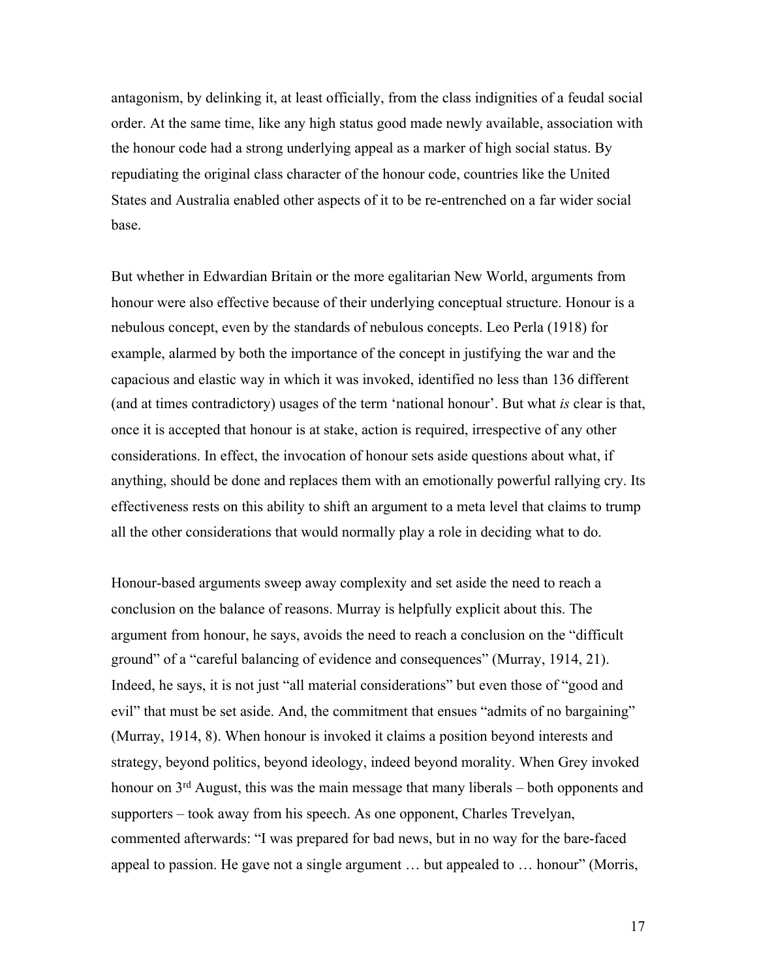antagonism, by delinking it, at least officially, from the class indignities of a feudal social order. At the same time, like any high status good made newly available, association with the honour code had a strong underlying appeal as a marker of high social status. By repudiating the original class character of the honour code, countries like the United States and Australia enabled other aspects of it to be re-entrenched on a far wider social base.

But whether in Edwardian Britain or the more egalitarian New World, arguments from honour were also effective because of their underlying conceptual structure. Honour is a nebulous concept, even by the standards of nebulous concepts. Leo Perla (1918) for example, alarmed by both the importance of the concept in justifying the war and the capacious and elastic way in which it was invoked, identified no less than 136 different (and at times contradictory) usages of the term 'national honour'. But what *is* clear is that, once it is accepted that honour is at stake, action is required, irrespective of any other considerations. In effect, the invocation of honour sets aside questions about what, if anything, should be done and replaces them with an emotionally powerful rallying cry. Its effectiveness rests on this ability to shift an argument to a meta level that claims to trump all the other considerations that would normally play a role in deciding what to do.

Honour-based arguments sweep away complexity and set aside the need to reach a conclusion on the balance of reasons. Murray is helpfully explicit about this. The argument from honour, he says, avoids the need to reach a conclusion on the "difficult ground" of a "careful balancing of evidence and consequences" (Murray, 1914, 21). Indeed, he says, it is not just "all material considerations" but even those of "good and evil" that must be set aside. And, the commitment that ensues "admits of no bargaining" (Murray, 1914, 8). When honour is invoked it claims a position beyond interests and strategy, beyond politics, beyond ideology, indeed beyond morality. When Grey invoked honour on  $3<sup>rd</sup>$  August, this was the main message that many liberals – both opponents and supporters – took away from his speech. As one opponent, Charles Trevelyan, commented afterwards: "I was prepared for bad news, but in no way for the bare-faced appeal to passion. He gave not a single argument … but appealed to … honour" (Morris,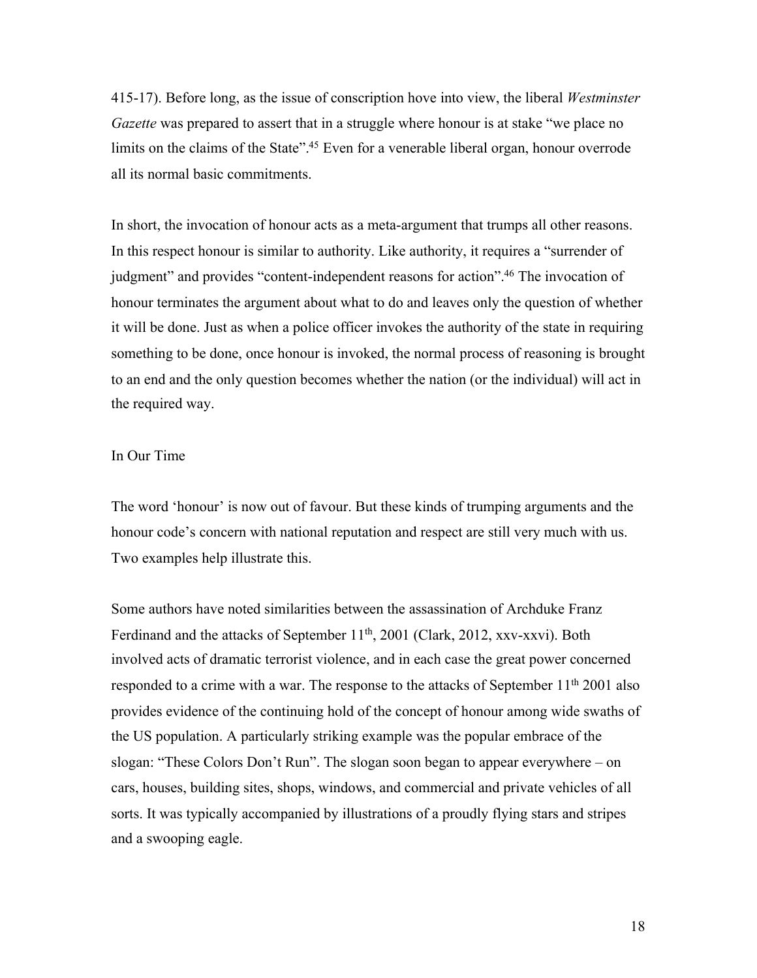415-17). Before long, as the issue of conscription hove into view, the liberal *Westminster Gazette* was prepared to assert that in a struggle where honour is at stake "we place no limits on the claims of the State".<sup>45</sup> Even for a venerable liberal organ, honour overrode all its normal basic commitments.

In short, the invocation of honour acts as a meta-argument that trumps all other reasons. In this respect honour is similar to authority. Like authority, it requires a "surrender of judgment" and provides "content-independent reasons for action".46 The invocation of honour terminates the argument about what to do and leaves only the question of whether it will be done. Just as when a police officer invokes the authority of the state in requiring something to be done, once honour is invoked, the normal process of reasoning is brought to an end and the only question becomes whether the nation (or the individual) will act in the required way.

# In Our Time

The word 'honour' is now out of favour. But these kinds of trumping arguments and the honour code's concern with national reputation and respect are still very much with us. Two examples help illustrate this.

Some authors have noted similarities between the assassination of Archduke Franz Ferdinand and the attacks of September 11<sup>th</sup>, 2001 (Clark, 2012, xxv-xxvi). Both involved acts of dramatic terrorist violence, and in each case the great power concerned responded to a crime with a war. The response to the attacks of September  $11<sup>th</sup> 2001$  also provides evidence of the continuing hold of the concept of honour among wide swaths of the US population. A particularly striking example was the popular embrace of the slogan: "These Colors Don't Run". The slogan soon began to appear everywhere – on cars, houses, building sites, shops, windows, and commercial and private vehicles of all sorts. It was typically accompanied by illustrations of a proudly flying stars and stripes and a swooping eagle.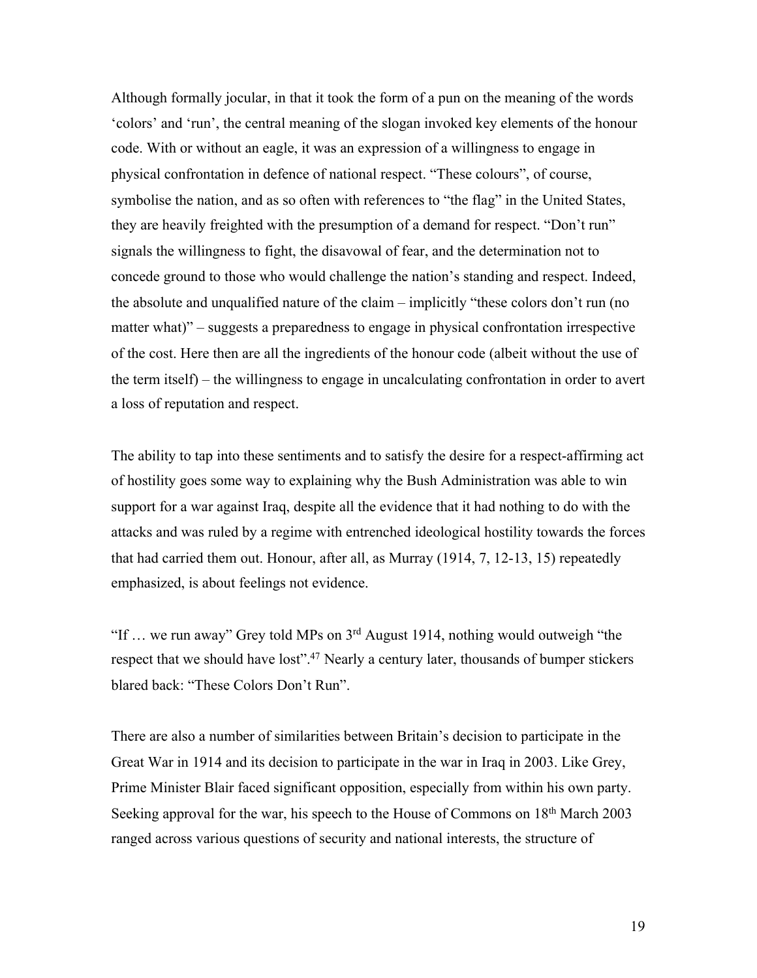Although formally jocular, in that it took the form of a pun on the meaning of the words 'colors' and 'run', the central meaning of the slogan invoked key elements of the honour code. With or without an eagle, it was an expression of a willingness to engage in physical confrontation in defence of national respect. "These colours", of course, symbolise the nation, and as so often with references to "the flag" in the United States, they are heavily freighted with the presumption of a demand for respect. "Don't run" signals the willingness to fight, the disavowal of fear, and the determination not to concede ground to those who would challenge the nation's standing and respect. Indeed, the absolute and unqualified nature of the claim – implicitly "these colors don't run (no matter what)" – suggests a preparedness to engage in physical confrontation irrespective of the cost. Here then are all the ingredients of the honour code (albeit without the use of the term itself) – the willingness to engage in uncalculating confrontation in order to avert a loss of reputation and respect.

The ability to tap into these sentiments and to satisfy the desire for a respect-affirming act of hostility goes some way to explaining why the Bush Administration was able to win support for a war against Iraq, despite all the evidence that it had nothing to do with the attacks and was ruled by a regime with entrenched ideological hostility towards the forces that had carried them out. Honour, after all, as Murray (1914, 7, 12-13, 15) repeatedly emphasized, is about feelings not evidence.

"If  $\ldots$  we run away" Grey told MPs on  $3^{rd}$  August 1914, nothing would outweigh "the respect that we should have lost".<sup>47</sup> Nearly a century later, thousands of bumper stickers blared back: "These Colors Don't Run".

There are also a number of similarities between Britain's decision to participate in the Great War in 1914 and its decision to participate in the war in Iraq in 2003. Like Grey, Prime Minister Blair faced significant opposition, especially from within his own party. Seeking approval for the war, his speech to the House of Commons on 18<sup>th</sup> March 2003 ranged across various questions of security and national interests, the structure of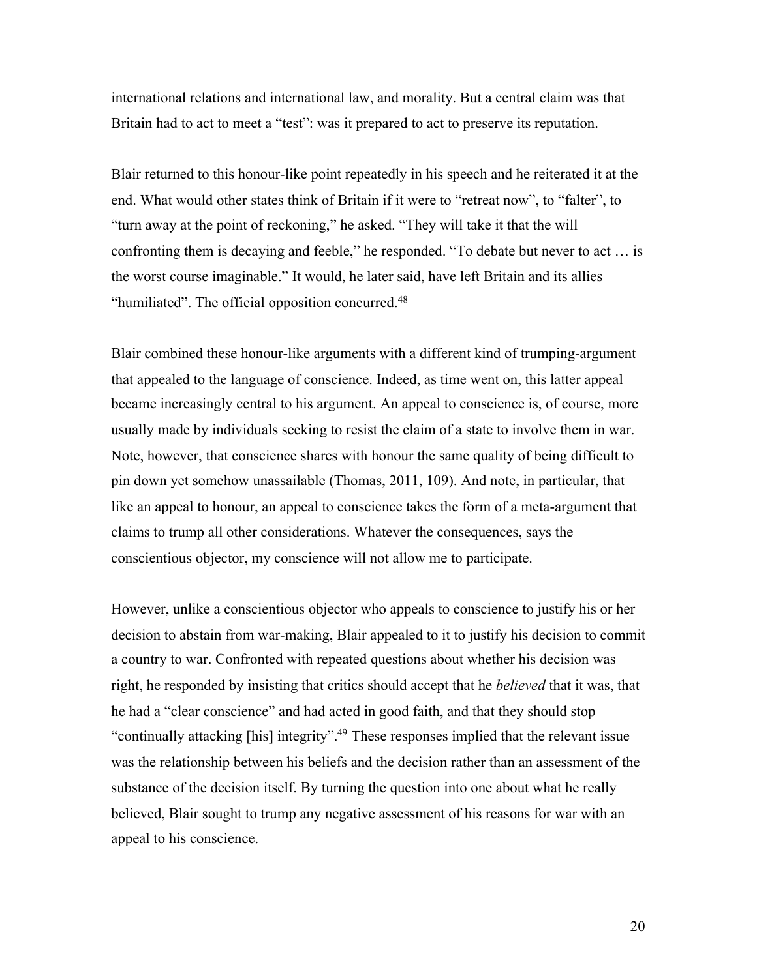international relations and international law, and morality. But a central claim was that Britain had to act to meet a "test": was it prepared to act to preserve its reputation.

Blair returned to this honour-like point repeatedly in his speech and he reiterated it at the end. What would other states think of Britain if it were to "retreat now", to "falter", to "turn away at the point of reckoning," he asked. "They will take it that the will confronting them is decaying and feeble," he responded. "To debate but never to act … is the worst course imaginable." It would, he later said, have left Britain and its allies "humiliated". The official opposition concurred.<sup>48</sup>

Blair combined these honour-like arguments with a different kind of trumping-argument that appealed to the language of conscience. Indeed, as time went on, this latter appeal became increasingly central to his argument. An appeal to conscience is, of course, more usually made by individuals seeking to resist the claim of a state to involve them in war. Note, however, that conscience shares with honour the same quality of being difficult to pin down yet somehow unassailable (Thomas, 2011, 109). And note, in particular, that like an appeal to honour, an appeal to conscience takes the form of a meta-argument that claims to trump all other considerations. Whatever the consequences, says the conscientious objector, my conscience will not allow me to participate.

However, unlike a conscientious objector who appeals to conscience to justify his or her decision to abstain from war-making, Blair appealed to it to justify his decision to commit a country to war. Confronted with repeated questions about whether his decision was right, he responded by insisting that critics should accept that he *believed* that it was, that he had a "clear conscience" and had acted in good faith, and that they should stop "continually attacking [his] integrity".<sup>49</sup> These responses implied that the relevant issue was the relationship between his beliefs and the decision rather than an assessment of the substance of the decision itself. By turning the question into one about what he really believed, Blair sought to trump any negative assessment of his reasons for war with an appeal to his conscience.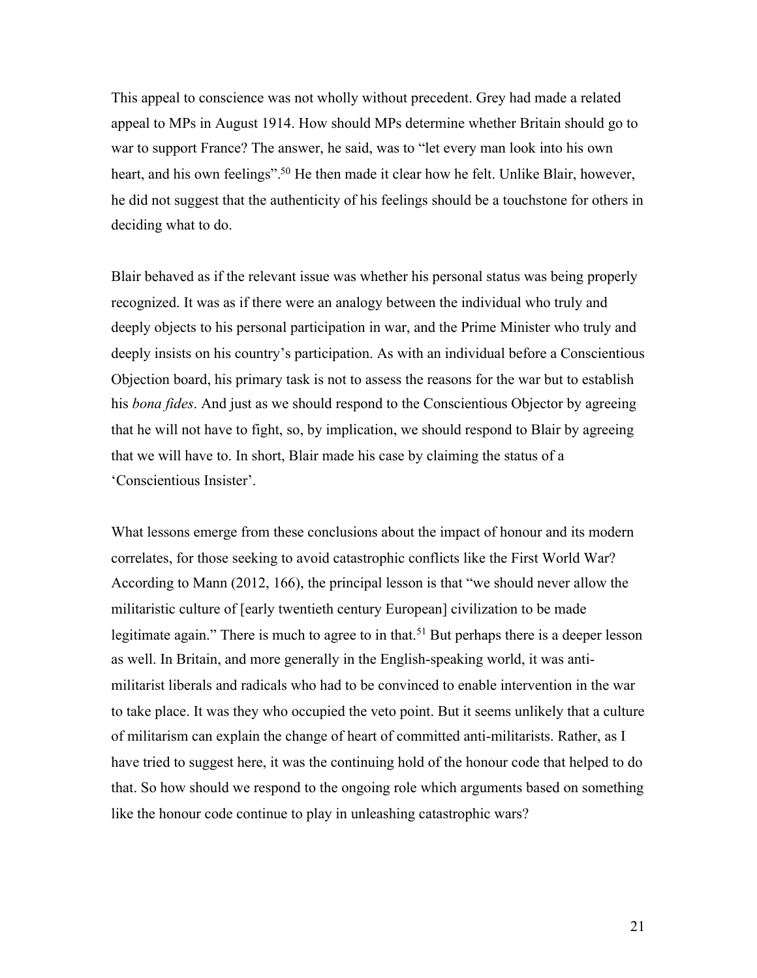This appeal to conscience was not wholly without precedent. Grey had made a related appeal to MPs in August 1914. How should MPs determine whether Britain should go to war to support France? The answer, he said, was to "let every man look into his own heart, and his own feelings".<sup>50</sup> He then made it clear how he felt. Unlike Blair, however, he did not suggest that the authenticity of his feelings should be a touchstone for others in deciding what to do.

Blair behaved as if the relevant issue was whether his personal status was being properly recognized. It was as if there were an analogy between the individual who truly and deeply objects to his personal participation in war, and the Prime Minister who truly and deeply insists on his country's participation. As with an individual before a Conscientious Objection board, his primary task is not to assess the reasons for the war but to establish his *bona fides*. And just as we should respond to the Conscientious Objector by agreeing that he will not have to fight, so, by implication, we should respond to Blair by agreeing that we will have to. In short, Blair made his case by claiming the status of a 'Conscientious Insister'.

What lessons emerge from these conclusions about the impact of honour and its modern correlates, for those seeking to avoid catastrophic conflicts like the First World War? According to Mann (2012, 166), the principal lesson is that "we should never allow the militaristic culture of [early twentieth century European] civilization to be made legitimate again." There is much to agree to in that.<sup>51</sup> But perhaps there is a deeper lesson as well. In Britain, and more generally in the English-speaking world, it was antimilitarist liberals and radicals who had to be convinced to enable intervention in the war to take place. It was they who occupied the veto point. But it seems unlikely that a culture of militarism can explain the change of heart of committed anti-militarists. Rather, as I have tried to suggest here, it was the continuing hold of the honour code that helped to do that. So how should we respond to the ongoing role which arguments based on something like the honour code continue to play in unleashing catastrophic wars?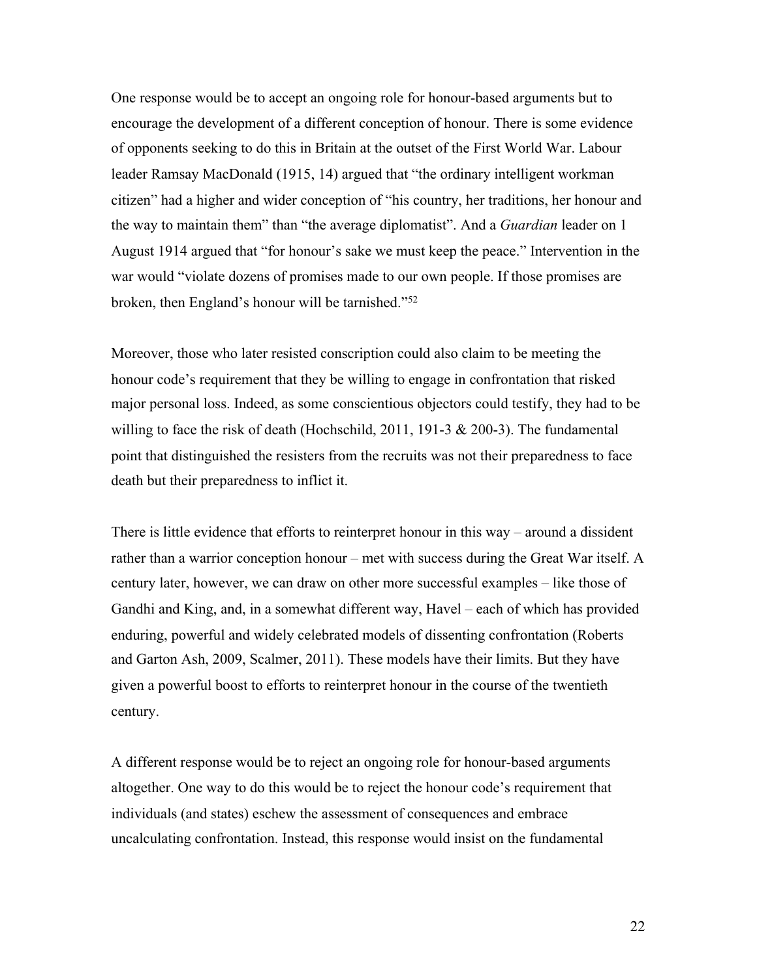One response would be to accept an ongoing role for honour-based arguments but to encourage the development of a different conception of honour. There is some evidence of opponents seeking to do this in Britain at the outset of the First World War. Labour leader Ramsay MacDonald (1915, 14) argued that "the ordinary intelligent workman citizen" had a higher and wider conception of "his country, her traditions, her honour and the way to maintain them" than "the average diplomatist". And a *Guardian* leader on 1 August 1914 argued that "for honour's sake we must keep the peace." Intervention in the war would "violate dozens of promises made to our own people. If those promises are broken, then England's honour will be tarnished."52

Moreover, those who later resisted conscription could also claim to be meeting the honour code's requirement that they be willing to engage in confrontation that risked major personal loss. Indeed, as some conscientious objectors could testify, they had to be willing to face the risk of death (Hochschild, 2011, 191-3 & 200-3). The fundamental point that distinguished the resisters from the recruits was not their preparedness to face death but their preparedness to inflict it.

There is little evidence that efforts to reinterpret honour in this way – around a dissident rather than a warrior conception honour – met with success during the Great War itself. A century later, however, we can draw on other more successful examples – like those of Gandhi and King, and, in a somewhat different way, Havel – each of which has provided enduring, powerful and widely celebrated models of dissenting confrontation (Roberts and Garton Ash, 2009, Scalmer, 2011). These models have their limits. But they have given a powerful boost to efforts to reinterpret honour in the course of the twentieth century.

A different response would be to reject an ongoing role for honour-based arguments altogether. One way to do this would be to reject the honour code's requirement that individuals (and states) eschew the assessment of consequences and embrace uncalculating confrontation. Instead, this response would insist on the fundamental

22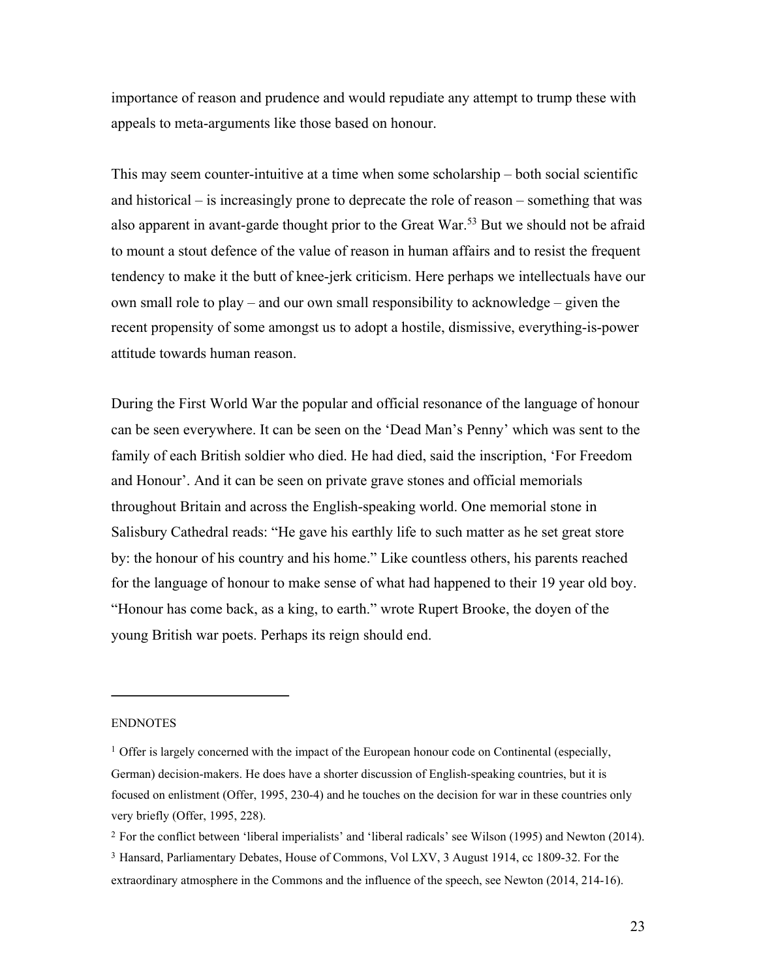importance of reason and prudence and would repudiate any attempt to trump these with appeals to meta-arguments like those based on honour.

This may seem counter-intuitive at a time when some scholarship – both social scientific and historical – is increasingly prone to deprecate the role of reason – something that was also apparent in avant-garde thought prior to the Great War.<sup>53</sup> But we should not be afraid to mount a stout defence of the value of reason in human affairs and to resist the frequent tendency to make it the butt of knee-jerk criticism. Here perhaps we intellectuals have our own small role to play – and our own small responsibility to acknowledge – given the recent propensity of some amongst us to adopt a hostile, dismissive, everything-is-power attitude towards human reason.

During the First World War the popular and official resonance of the language of honour can be seen everywhere. It can be seen on the 'Dead Man's Penny' which was sent to the family of each British soldier who died. He had died, said the inscription, 'For Freedom and Honour'. And it can be seen on private grave stones and official memorials throughout Britain and across the English-speaking world. One memorial stone in Salisbury Cathedral reads: "He gave his earthly life to such matter as he set great store by: the honour of his country and his home." Like countless others, his parents reached for the language of honour to make sense of what had happened to their 19 year old boy. "Honour has come back, as a king, to earth." wrote Rupert Brooke, the doyen of the young British war poets. Perhaps its reign should end.

#### **ENDNOTES**

<sup>&</sup>lt;sup>1</sup> Offer is largely concerned with the impact of the European honour code on Continental (especially, German) decision-makers. He does have a shorter discussion of English-speaking countries, but it is focused on enlistment (Offer, 1995, 230-4) and he touches on the decision for war in these countries only very briefly (Offer, 1995, 228).

<sup>2</sup> For the conflict between 'liberal imperialists' and 'liberal radicals' see Wilson (1995) and Newton (2014). <sup>3</sup> Hansard, Parliamentary Debates, House of Commons, Vol LXV, 3 August 1914, cc 1809-32. For the extraordinary atmosphere in the Commons and the influence of the speech, see Newton (2014, 214-16).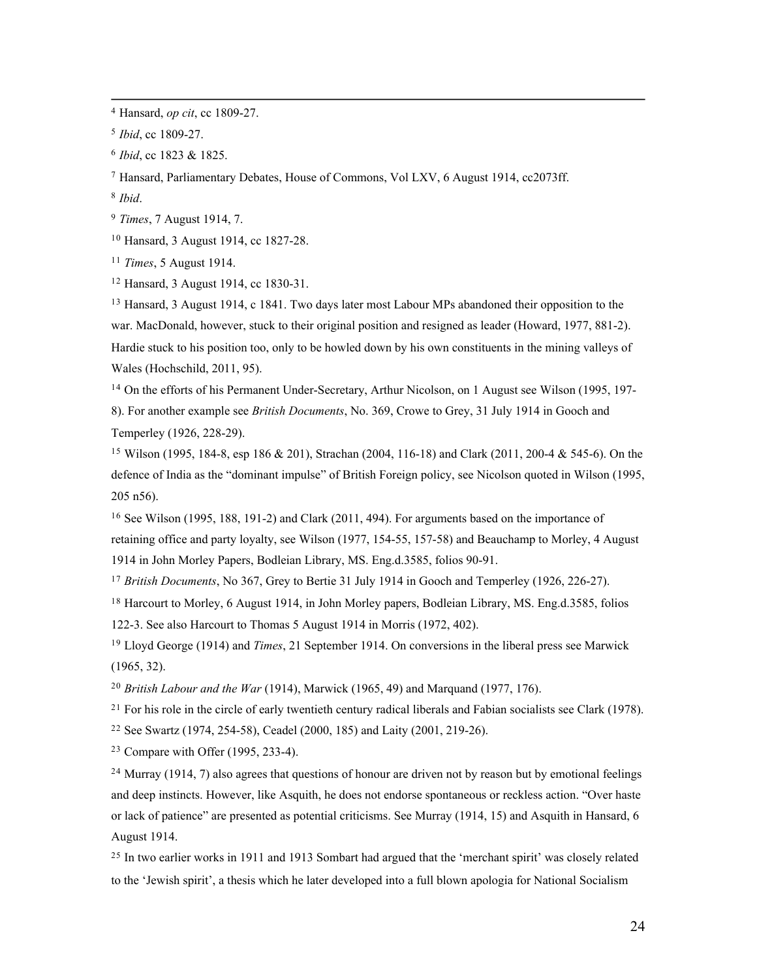<sup>4</sup> Hansard, *op cit*, cc 1809-27.

<sup>6</sup> *Ibid*, cc 1823 & 1825.

<sup>7</sup> Hansard, Parliamentary Debates, House of Commons, Vol LXV, 6 August 1914, cc2073ff.

<sup>8</sup> *Ibid*.

<sup>9</sup> *Times*, 7 August 1914, 7.

<sup>10</sup> Hansard, 3 August 1914, cc 1827-28.

<sup>11</sup> *Times*, 5 August 1914.

<sup>12</sup> Hansard, 3 August 1914, cc 1830-31.

<sup>13</sup> Hansard, 3 August 1914, c 1841. Two days later most Labour MPs abandoned their opposition to the war. MacDonald, however, stuck to their original position and resigned as leader (Howard, 1977, 881-2). Hardie stuck to his position too, only to be howled down by his own constituents in the mining valleys of Wales (Hochschild, 2011, 95).

<sup>14</sup> On the efforts of his Permanent Under-Secretary, Arthur Nicolson, on 1 August see Wilson (1995, 197-8). For another example see *British Documents*, No. 369, Crowe to Grey, 31 July 1914 in Gooch and Temperley (1926, 228-29).

<sup>15</sup> Wilson (1995, 184-8, esp 186 & 201), Strachan (2004, 116-18) and Clark (2011, 200-4 & 545-6). On the defence of India as the "dominant impulse" of British Foreign policy, see Nicolson quoted in Wilson (1995, 205 n56).

<sup>16</sup> See Wilson (1995, 188, 191-2) and Clark (2011, 494). For arguments based on the importance of retaining office and party loyalty, see Wilson (1977, 154-55, 157-58) and Beauchamp to Morley, 4 August 1914 in John Morley Papers, Bodleian Library, MS. Eng.d.3585, folios 90-91.

<sup>17</sup> *British Documents*, No 367, Grey to Bertie 31 July 1914 in Gooch and Temperley (1926, 226-27).

<sup>18</sup> Harcourt to Morley, 6 August 1914, in John Morley papers, Bodleian Library, MS. Eng.d.3585, folios 122-3. See also Harcourt to Thomas 5 August 1914 in Morris (1972, 402).

<sup>19</sup> Lloyd George (1914) and *Times*, 21 September 1914. On conversions in the liberal press see Marwick (1965, 32).

<sup>20</sup> *British Labour and the War* (1914), Marwick (1965, 49) and Marquand (1977, 176).

<sup>21</sup> For his role in the circle of early twentieth century radical liberals and Fabian socialists see Clark (1978).

<sup>22</sup> See Swartz (1974, 254-58), Ceadel (2000, 185) and Laity (2001, 219-26).

<sup>23</sup> Compare with Offer (1995, 233-4).

 $^{24}$  Murray (1914, 7) also agrees that questions of honour are driven not by reason but by emotional feelings and deep instincts. However, like Asquith, he does not endorse spontaneous or reckless action. "Over haste or lack of patience" are presented as potential criticisms. See Murray (1914, 15) and Asquith in Hansard, 6 August 1914.

 $25$  In two earlier works in 1911 and 1913 Sombart had argued that the 'merchant spirit' was closely related to the 'Jewish spirit', a thesis which he later developed into a full blown apologia for National Socialism

<sup>5</sup> *Ibid*, cc 1809-27.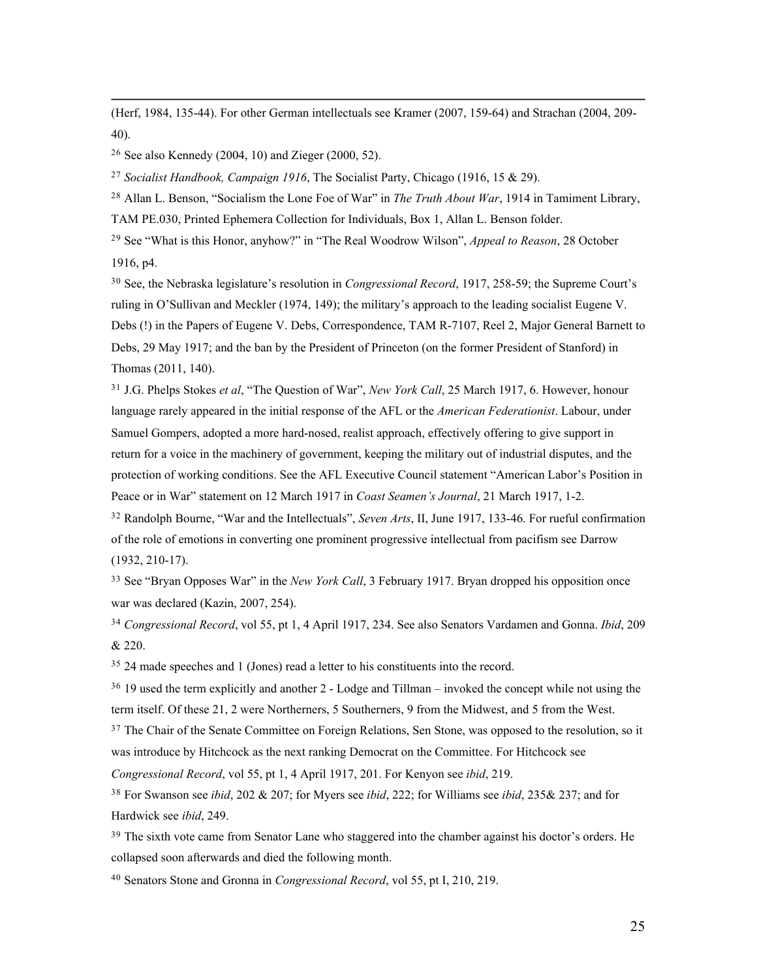(Herf, 1984, 135-44). For other German intellectuals see Kramer (2007, 159-64) and Strachan (2004, 209- 40).

<sup>26</sup> See also Kennedy (2004, 10) and Zieger (2000, 52).

<sup>27</sup> *Socialist Handbook, Campaign 1916*, The Socialist Party, Chicago (1916, 15 & 29).

<sup>28</sup> Allan L. Benson, "Socialism the Lone Foe of War" in *The Truth About War*, 1914 in Tamiment Library,

TAM PE.030, Printed Ephemera Collection for Individuals, Box 1, Allan L. Benson folder.

<sup>29</sup> See "What is this Honor, anyhow?" in "The Real Woodrow Wilson", *Appeal to Reason*, 28 October 1916, p4.

<sup>30</sup> See, the Nebraska legislature's resolution in *Congressional Record*, 1917, 258-59; the Supreme Court's ruling in O'Sullivan and Meckler (1974, 149); the military's approach to the leading socialist Eugene V. Debs (!) in the Papers of Eugene V. Debs, Correspondence, TAM R-7107, Reel 2, Major General Barnett to Debs, 29 May 1917; and the ban by the President of Princeton (on the former President of Stanford) in Thomas (2011, 140).

<sup>31</sup> J.G. Phelps Stokes *et al*, "The Question of War", *New York Call*, 25 March 1917, 6. However, honour language rarely appeared in the initial response of the AFL or the *American Federationist*. Labour, under Samuel Gompers, adopted a more hard-nosed, realist approach, effectively offering to give support in return for a voice in the machinery of government, keeping the military out of industrial disputes, and the protection of working conditions. See the AFL Executive Council statement "American Labor's Position in Peace or in War" statement on 12 March 1917 in *Coast Seamen's Journal*, 21 March 1917, 1-2.

<sup>32</sup> Randolph Bourne, "War and the Intellectuals", *Seven Arts*, II, June 1917, 133-46. For rueful confirmation of the role of emotions in converting one prominent progressive intellectual from pacifism see Darrow (1932, 210-17).

<sup>33</sup> See "Bryan Opposes War" in the *New York Call*, 3 February 1917. Bryan dropped his opposition once war was declared (Kazin, 2007, 254).

<sup>34</sup> *Congressional Record*, vol 55, pt 1, 4 April 1917, 234. See also Senators Vardamen and Gonna. *Ibid*, 209 & 220.

<sup>35</sup> 24 made speeches and 1 (Jones) read a letter to his constituents into the record.

<sup>36</sup> 19 used the term explicitly and another 2 - Lodge and Tillman – invoked the concept while not using the term itself. Of these 21, 2 were Northerners, 5 Southerners, 9 from the Midwest, and 5 from the West.

<sup>37</sup> The Chair of the Senate Committee on Foreign Relations, Sen Stone, was opposed to the resolution, so it

was introduce by Hitchcock as the next ranking Democrat on the Committee. For Hitchcock see

*Congressional Record*, vol 55, pt 1, 4 April 1917, 201. For Kenyon see *ibid*, 219.

<sup>38</sup> For Swanson see *ibid*, 202 & 207; for Myers see *ibid*, 222; for Williams see *ibid*, 235& 237; and for Hardwick see *ibid*, 249.

<sup>39</sup> The sixth vote came from Senator Lane who staggered into the chamber against his doctor's orders. He collapsed soon afterwards and died the following month.

<sup>40</sup> Senators Stone and Gronna in *Congressional Record*, vol 55, pt I, 210, 219.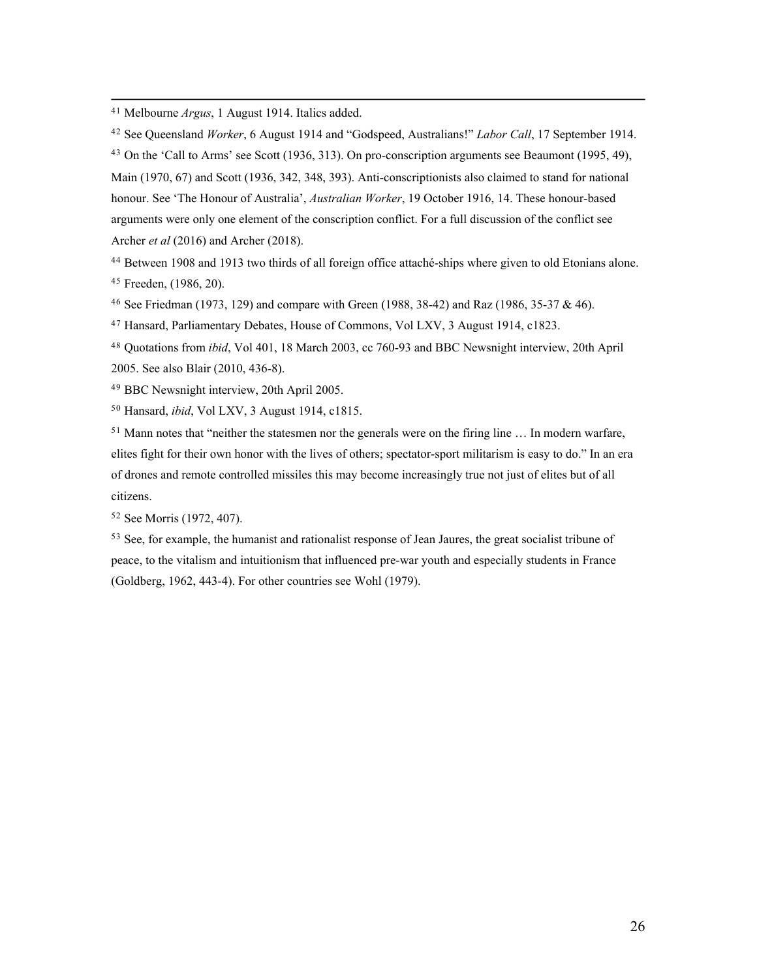<sup>41</sup> Melbourne *Argus*, 1 August 1914. Italics added.

<sup>42</sup> See Queensland *Worker*, 6 August 1914 and "Godspeed, Australians!" *Labor Call*, 17 September 1914.

<sup>43</sup> On the 'Call to Arms' see Scott (1936, 313). On pro-conscription arguments see Beaumont (1995, 49), Main (1970, 67) and Scott (1936, 342, 348, 393). Anti-conscriptionists also claimed to stand for national honour. See 'The Honour of Australia', *Australian Worker*, 19 October 1916, 14. These honour-based arguments were only one element of the conscription conflict. For a full discussion of the conflict see Archer *et al* (2016) and Archer (2018).

<sup>44</sup> Between 1908 and 1913 two thirds of all foreign office attaché-ships where given to old Etonians alone. <sup>45</sup> Freeden, (1986, 20).

<sup>46</sup> See Friedman (1973, 129) and compare with Green (1988, 38-42) and Raz (1986, 35-37 & 46).

<sup>47</sup> Hansard, Parliamentary Debates, House of Commons, Vol LXV, 3 August 1914, c1823.

<sup>48</sup> Quotations from *ibid*, Vol 401, 18 March 2003, cc 760-93 and BBC Newsnight interview, 20th April 2005. See also Blair (2010, 436-8).

<sup>49</sup> BBC Newsnight interview, 20th April 2005.

<sup>50</sup> Hansard, *ibid*, Vol LXV, 3 August 1914, c1815.

 $51$  Mann notes that "neither the statesmen nor the generals were on the firing line  $\dots$  In modern warfare, elites fight for their own honor with the lives of others; spectator-sport militarism is easy to do." In an era of drones and remote controlled missiles this may become increasingly true not just of elites but of all citizens.

<sup>52</sup> See Morris (1972, 407).

<sup>53</sup> See, for example, the humanist and rationalist response of Jean Jaures, the great socialist tribune of peace, to the vitalism and intuitionism that influenced pre-war youth and especially students in France (Goldberg, 1962, 443-4). For other countries see Wohl (1979).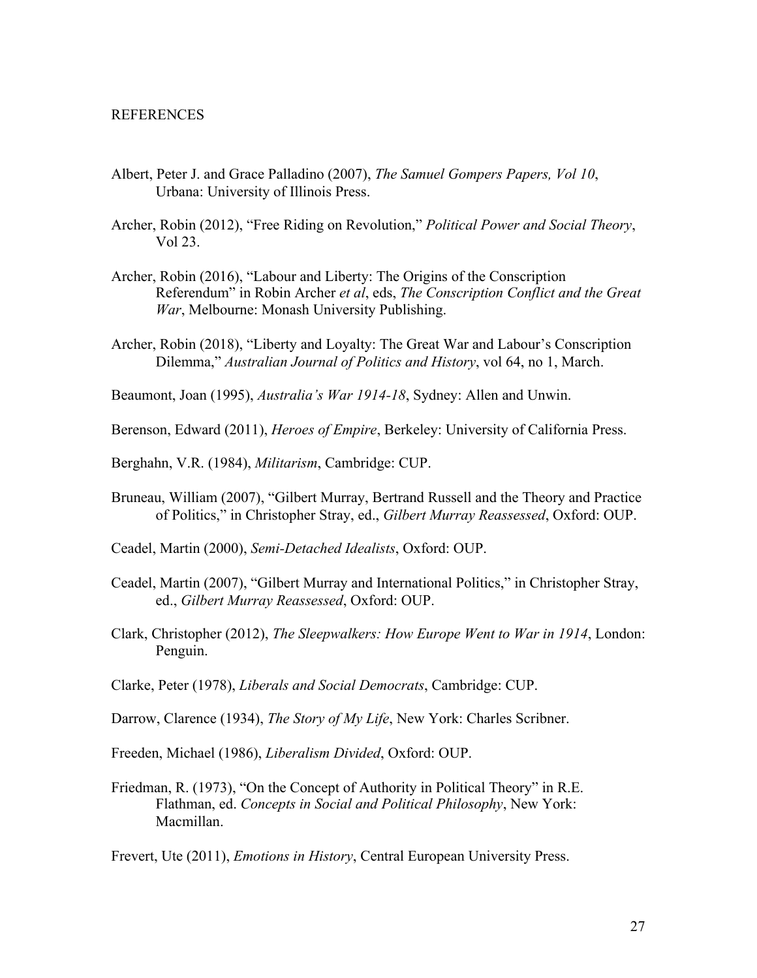### **REFERENCES**

- Albert, Peter J. and Grace Palladino (2007), *The Samuel Gompers Papers, Vol 10*, Urbana: University of Illinois Press.
- Archer, Robin (2012), "Free Riding on Revolution," *Political Power and Social Theory*, Vol 23.
- Archer, Robin (2016), "Labour and Liberty: The Origins of the Conscription Referendum" in Robin Archer *et al*, eds, *The Conscription Conflict and the Great War*, Melbourne: Monash University Publishing.
- Archer, Robin (2018), "Liberty and Loyalty: The Great War and Labour's Conscription Dilemma," *Australian Journal of Politics and History*, vol 64, no 1, March.
- Beaumont, Joan (1995), *Australia's War 1914-18*, Sydney: Allen and Unwin.
- Berenson, Edward (2011), *Heroes of Empire*, Berkeley: University of California Press.
- Berghahn, V.R. (1984), *Militarism*, Cambridge: CUP.
- Bruneau, William (2007), "Gilbert Murray, Bertrand Russell and the Theory and Practice of Politics," in Christopher Stray, ed., *Gilbert Murray Reassessed*, Oxford: OUP.
- Ceadel, Martin (2000), *Semi-Detached Idealists*, Oxford: OUP.
- Ceadel, Martin (2007), "Gilbert Murray and International Politics," in Christopher Stray, ed., *Gilbert Murray Reassessed*, Oxford: OUP.
- Clark, Christopher (2012), *The Sleepwalkers: How Europe Went to War in 1914*, London: Penguin.
- Clarke, Peter (1978), *Liberals and Social Democrats*, Cambridge: CUP.
- Darrow, Clarence (1934), *The Story of My Life*, New York: Charles Scribner.
- Freeden, Michael (1986), *Liberalism Divided*, Oxford: OUP.
- Friedman, R. (1973), "On the Concept of Authority in Political Theory" in R.E. Flathman, ed. *Concepts in Social and Political Philosophy*, New York: Macmillan.

Frevert, Ute (2011), *Emotions in History*, Central European University Press.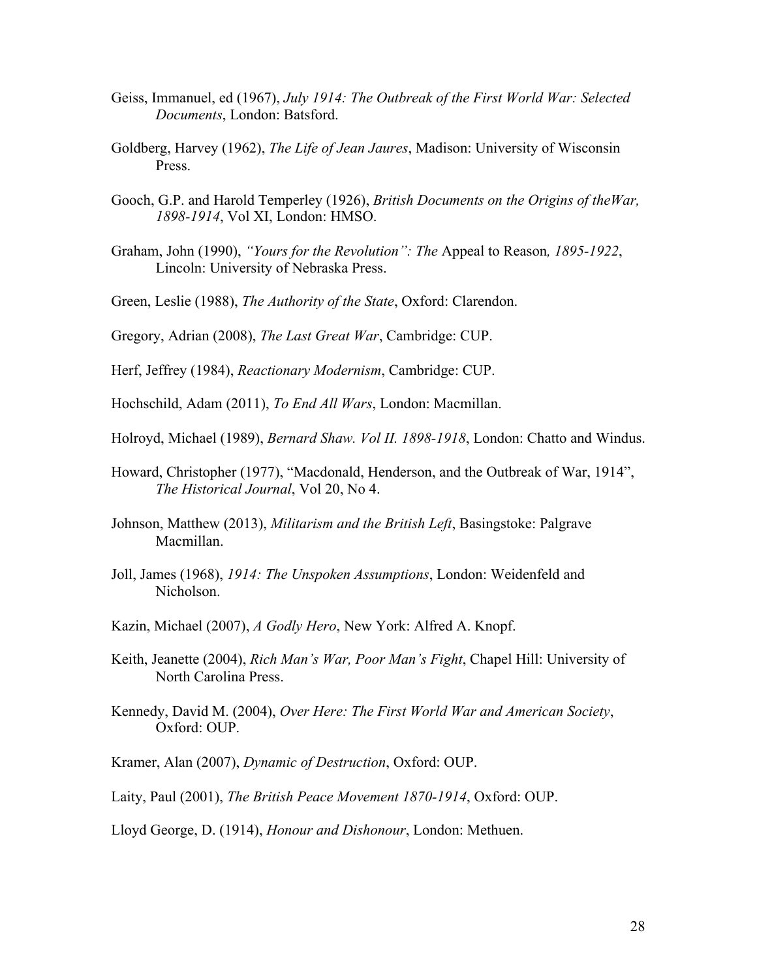- Geiss, Immanuel, ed (1967), *July 1914: The Outbreak of the First World War: Selected Documents*, London: Batsford.
- Goldberg, Harvey (1962), *The Life of Jean Jaures*, Madison: University of Wisconsin Press.
- Gooch, G.P. and Harold Temperley (1926), *British Documents on the Origins of theWar, 1898-1914*, Vol XI, London: HMSO.
- Graham, John (1990), *"Yours for the Revolution": The* Appeal to Reason*, 1895-1922*, Lincoln: University of Nebraska Press.
- Green, Leslie (1988), *The Authority of the State*, Oxford: Clarendon.
- Gregory, Adrian (2008), *The Last Great War*, Cambridge: CUP.
- Herf, Jeffrey (1984), *Reactionary Modernism*, Cambridge: CUP.
- Hochschild, Adam (2011), *To End All Wars*, London: Macmillan.
- Holroyd, Michael (1989), *Bernard Shaw. Vol II. 1898-1918*, London: Chatto and Windus.
- Howard, Christopher (1977), "Macdonald, Henderson, and the Outbreak of War, 1914", *The Historical Journal*, Vol 20, No 4.
- Johnson, Matthew (2013), *Militarism and the British Left*, Basingstoke: Palgrave Macmillan.
- Joll, James (1968), *1914: The Unspoken Assumptions*, London: Weidenfeld and Nicholson.
- Kazin, Michael (2007), *A Godly Hero*, New York: Alfred A. Knopf.
- Keith, Jeanette (2004), *Rich Man's War, Poor Man's Fight*, Chapel Hill: University of North Carolina Press.
- Kennedy, David M. (2004), *Over Here: The First World War and American Society*, Oxford: OUP.
- Kramer, Alan (2007), *Dynamic of Destruction*, Oxford: OUP.
- Laity, Paul (2001), *The British Peace Movement 1870-1914*, Oxford: OUP.

Lloyd George, D. (1914), *Honour and Dishonour*, London: Methuen.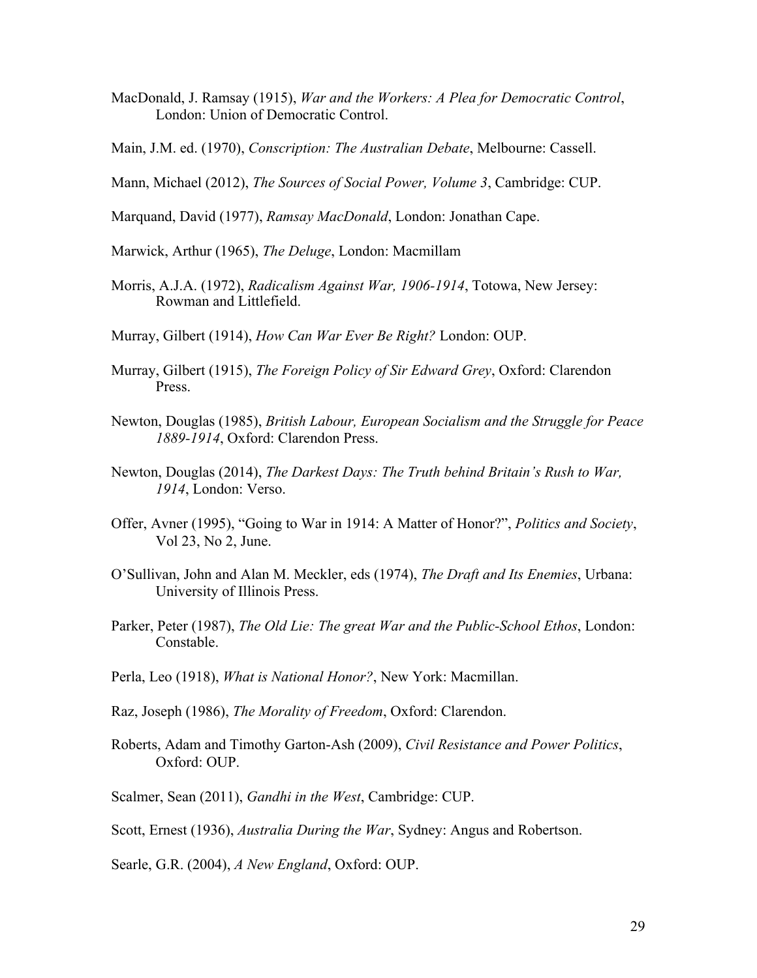- MacDonald, J. Ramsay (1915), *War and the Workers: A Plea for Democratic Control*, London: Union of Democratic Control.
- Main, J.M. ed. (1970), *Conscription: The Australian Debate*, Melbourne: Cassell.
- Mann, Michael (2012), *The Sources of Social Power, Volume 3*, Cambridge: CUP.
- Marquand, David (1977), *Ramsay MacDonald*, London: Jonathan Cape.
- Marwick, Arthur (1965), *The Deluge*, London: Macmillam
- Morris, A.J.A. (1972), *Radicalism Against War, 1906-1914*, Totowa, New Jersey: Rowman and Littlefield.
- Murray, Gilbert (1914), *How Can War Ever Be Right?* London: OUP.
- Murray, Gilbert (1915), *The Foreign Policy of Sir Edward Grey*, Oxford: Clarendon Press.
- Newton, Douglas (1985), *British Labour, European Socialism and the Struggle for Peace 1889-1914*, Oxford: Clarendon Press.
- Newton, Douglas (2014), *The Darkest Days: The Truth behind Britain's Rush to War, 1914*, London: Verso.
- Offer, Avner (1995), "Going to War in 1914: A Matter of Honor?", *Politics and Society*, Vol 23, No 2, June.
- O'Sullivan, John and Alan M. Meckler, eds (1974), *The Draft and Its Enemies*, Urbana: University of Illinois Press.
- Parker, Peter (1987), *The Old Lie: The great War and the Public-School Ethos*, London: Constable.
- Perla, Leo (1918), *What is National Honor?*, New York: Macmillan.
- Raz, Joseph (1986), *The Morality of Freedom*, Oxford: Clarendon.
- Roberts, Adam and Timothy Garton-Ash (2009), *Civil Resistance and Power Politics*, Oxford: OUP.
- Scalmer, Sean (2011), *Gandhi in the West*, Cambridge: CUP.

Scott, Ernest (1936), *Australia During the War*, Sydney: Angus and Robertson.

Searle, G.R. (2004), *A New England*, Oxford: OUP.